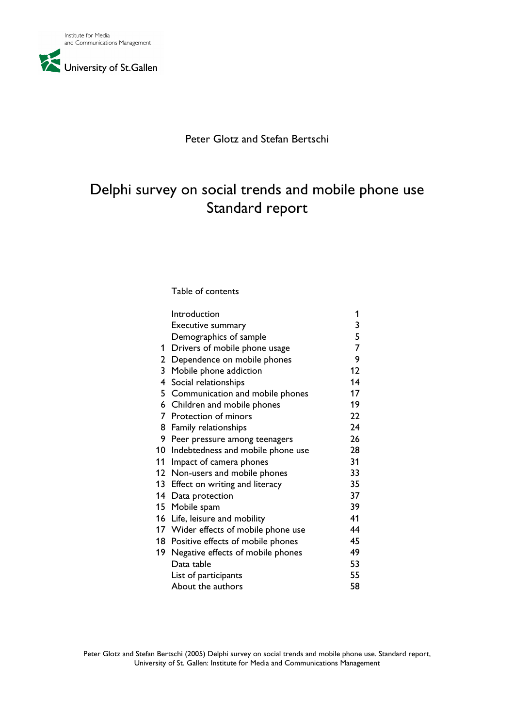

Peter Glotz and Stefan Bertschi

# Delphi survey on social trends and mobile phone use Standard report

Table of contents

|             | Introduction                         | 1  |
|-------------|--------------------------------------|----|
|             | <b>Executive summary</b>             | 3  |
|             | Demographics of sample               | 5  |
| 1           | Drivers of mobile phone usage        | 7  |
|             | 2 Dependence on mobile phones        | 9  |
| 3           | Mobile phone addiction               | 12 |
| 4           | Social relationships                 | 14 |
| 5.          | Communication and mobile phones      | 17 |
|             | 6 Children and mobile phones         | 19 |
| $7^{\circ}$ | Protection of minors                 | 22 |
| 8           | Family relationships                 | 24 |
| 9           | Peer pressure among teenagers        | 26 |
| 10          | Indebtedness and mobile phone use    | 28 |
| 11          | Impact of camera phones              | 31 |
| 12          | Non-users and mobile phones          | 33 |
| 13          | Effect on writing and literacy       | 35 |
| 14          | Data protection                      | 37 |
| 15          | Mobile spam                          | 39 |
| 16          | Life, leisure and mobility           | 41 |
|             | 17 Wider effects of mobile phone use | 44 |
|             | 18 Positive effects of mobile phones | 45 |
| 19          | Negative effects of mobile phones    | 49 |
|             | Data table                           | 53 |
|             | List of participants                 | 55 |
|             | About the authors                    | 58 |

Peter Glotz and Stefan Bertschi (2005) Delphi survey on social trends and mobile phone use. Standard report, University of St. Gallen: Institute for Media and Communications Management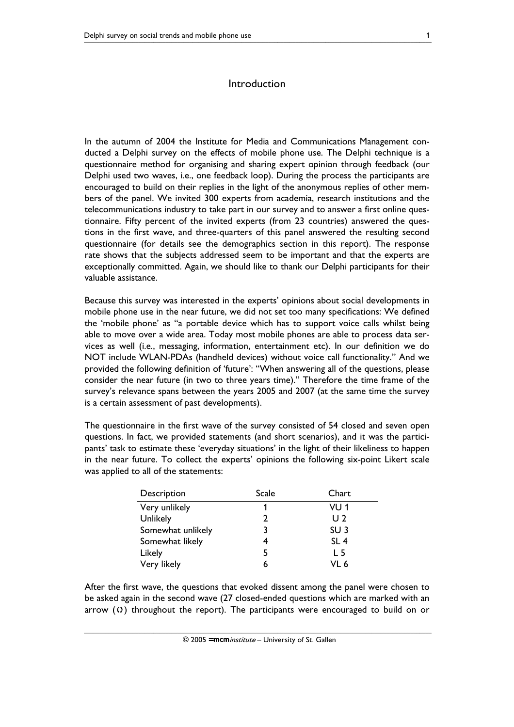# Introduction

 $\overline{\phantom{a}}$  , and the set of the set of the set of the set of the set of the set of the set of the set of the set of the set of the set of the set of the set of the set of the set of the set of the set of the set of the s

In the autumn of 2004 the Institute for Media and Communications Management conducted a Delphi survey on the effects of mobile phone use. The Delphi technique is a questionnaire method for organising and sharing expert opinion through feedback (our Delphi used two waves, i.e., one feedback loop). During the process the participants are encouraged to build on their replies in the light of the anonymous replies of other members of the panel. We invited 300 experts from academia, research institutions and the telecommunications industry to take part in our survey and to answer a first online questionnaire. Fifty percent of the invited experts (from 23 countries) answered the questions in the first wave, and three-quarters of this panel answered the resulting second questionnaire (for details see the demographics section in this report). The response rate shows that the subjects addressed seem to be important and that the experts are exceptionally committed. Again, we should like to thank our Delphi participants for their valuable assistance.

Because this survey was interested in the experts' opinions about social developments in mobile phone use in the near future, we did not set too many specifications: We defined the 'mobile phone' as "a portable device which has to support voice calls whilst being able to move over a wide area. Today most mobile phones are able to process data services as well (i.e., messaging, information, entertainment etc). In our definition we do NOT include WLAN-PDAs (handheld devices) without voice call functionality." And we provided the following definition of 'future': "When answering all of the questions, please consider the near future (in two to three years time)." Therefore the time frame of the survey's relevance spans between the years 2005 and 2007 (at the same time the survey is a certain assessment of past developments).

The questionnaire in the first wave of the survey consisted of 54 closed and seven open questions. In fact, we provided statements (and short scenarios), and it was the participants' task to estimate these 'everyday situations' in the light of their likeliness to happen in the near future. To collect the experts' opinions the following six-point Likert scale was applied to all of the statements:

| Description       | Scale         | Chart           |
|-------------------|---------------|-----------------|
| Very unlikely     |               | VU 1            |
| <b>Unlikely</b>   | $\mathcal{P}$ | U 2             |
| Somewhat unlikely | 3             | SU <sub>3</sub> |
| Somewhat likely   | 4             | SL <sub>4</sub> |
| Likely            |               | L 5             |
| Very likely       | 6             | VL 6            |

After the first wave, the questions that evoked dissent among the panel were chosen to be asked again in the second wave (27 closed-ended questions which are marked with an arrow  $(0)$  throughout the report). The participants were encouraged to build on or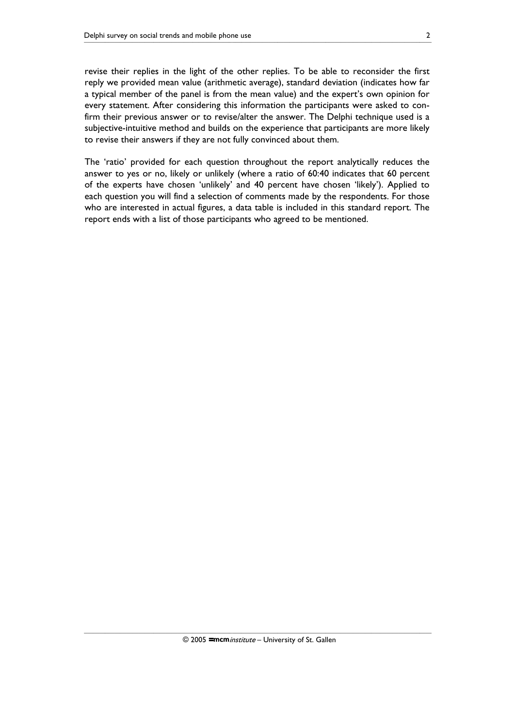revise their replies in the light of the other replies. To be able to reconsider the first reply we provided mean value (arithmetic average), standard deviation (indicates how far a typical member of the panel is from the mean value) and the expert's own opinion for every statement. After considering this information the participants were asked to confirm their previous answer or to revise/alter the answer. The Delphi technique used is a subjective-intuitive method and builds on the experience that participants are more likely to revise their answers if they are not fully convinced about them.

 $\overline{\phantom{a}}$  , and the set of the set of the set of the set of the set of the set of the set of the set of the set of the set of the set of the set of the set of the set of the set of the set of the set of the set of the s

The 'ratio' provided for each question throughout the report analytically reduces the answer to yes or no, likely or unlikely (where a ratio of 60:40 indicates that 60 percent of the experts have chosen 'unlikely' and 40 percent have chosen 'likely'). Applied to each question you will find a selection of comments made by the respondents. For those who are interested in actual figures, a data table is included in this standard report. The report ends with a list of those participants who agreed to be mentioned.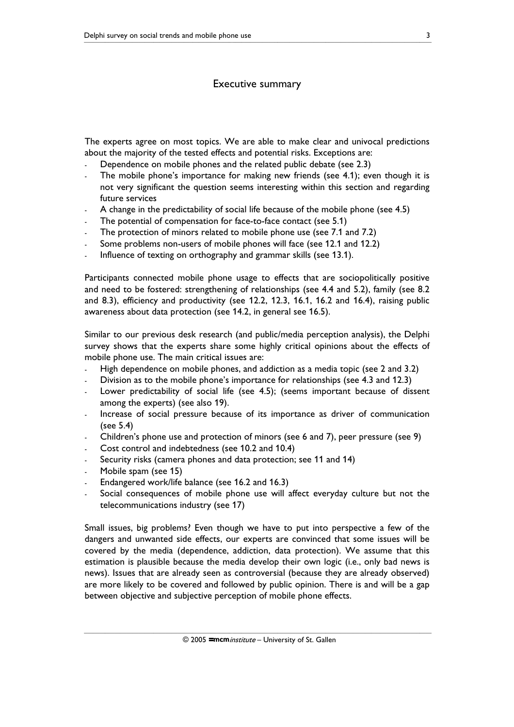# Executive summary

 $\overline{\phantom{a}}$  , and the set of the set of the set of the set of the set of the set of the set of the set of the set of the set of the set of the set of the set of the set of the set of the set of the set of the set of the s

The experts agree on most topics. We are able to make clear and univocal predictions about the majority of the tested effects and potential risks. Exceptions are:

- Dependence on mobile phones and the related public debate (see 2.3)
- The mobile phone's importance for making new friends (see  $4.1$ ); even though it is not very significant the question seems interesting within this section and regarding future services
- A change in the predictability of social life because of the mobile phone (see 4.5)
- The potential of compensation for face-to-face contact (see 5.1)
- The protection of minors related to mobile phone use (see 7.1 and 7.2)
- Some problems non-users of mobile phones will face (see 12.1 and 12.2)
- Influence of texting on orthography and grammar skills (see 13.1).

Participants connected mobile phone usage to effects that are sociopolitically positive and need to be fostered: strengthening of relationships (see 4.4 and 5.2), family (see 8.2 and 8.3), efficiency and productivity (see 12.2, 12.3, 16.1, 16.2 and 16.4), raising public awareness about data protection (see 14.2, in general see 16.5).

Similar to our previous desk research (and public/media perception analysis), the Delphi survey shows that the experts share some highly critical opinions about the effects of mobile phone use. The main critical issues are:

- High dependence on mobile phones, and addiction as a media topic (see 2 and 3.2)
- Division as to the mobile phone's importance for relationships (see 4.3 and 12.3)
- Lower predictability of social life (see 4.5); (seems important because of dissent among the experts) (see also 19).
- Increase of social pressure because of its importance as driver of communication (see 5.4)
- Children's phone use and protection of minors (see 6 and 7), peer pressure (see 9)
- Cost control and indebtedness (see 10.2 and 10.4)
- Security risks (camera phones and data protection; see 11 and 14)
- Mobile spam (see 15)
- Endangered work/life balance (see 16.2 and 16.3)
- Social consequences of mobile phone use will affect everyday culture but not the telecommunications industry (see 17)

Small issues, big problems? Even though we have to put into perspective a few of the dangers and unwanted side effects, our experts are convinced that some issues will be covered by the media (dependence, addiction, data protection). We assume that this estimation is plausible because the media develop their own logic (i.e., only bad news is news). Issues that are already seen as controversial (because they are already observed) are more likely to be covered and followed by public opinion. There is and will be a gap between objective and subjective perception of mobile phone effects.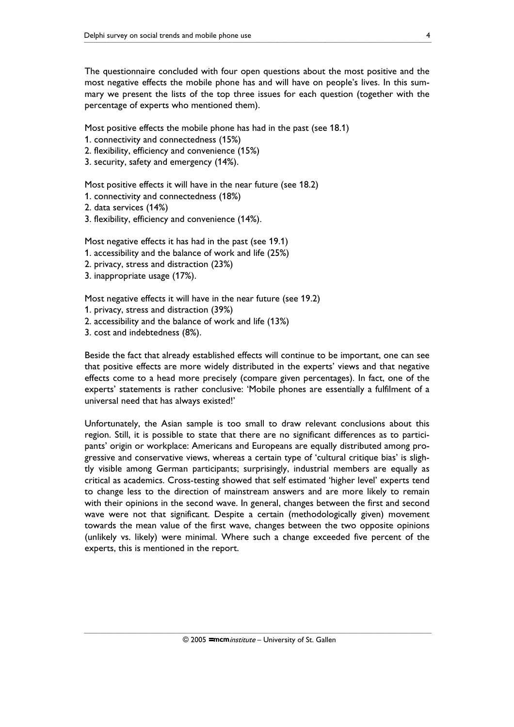The questionnaire concluded with four open questions about the most positive and the most negative effects the mobile phone has and will have on people's lives. In this summary we present the lists of the top three issues for each question (together with the percentage of experts who mentioned them).

 $\overline{\phantom{a}}$  , and the set of the set of the set of the set of the set of the set of the set of the set of the set of the set of the set of the set of the set of the set of the set of the set of the set of the set of the s

Most positive effects the mobile phone has had in the past (see 18.1)

- 1. connectivity and connectedness (15%)
- 2. flexibility, efficiency and convenience (15%)
- 3. security, safety and emergency (14%).

Most positive effects it will have in the near future (see 18.2)

- 1. connectivity and connectedness (18%)
- 2. data services (14%)
- 3. flexibility, efficiency and convenience (14%).

Most negative effects it has had in the past (see 19.1)

- 1. accessibility and the balance of work and life (25%)
- 2. privacy, stress and distraction (23%)
- 3. inappropriate usage (17%).

Most negative effects it will have in the near future (see 19.2)

- 1. privacy, stress and distraction (39%)
- 2. accessibility and the balance of work and life (13%)
- 3. cost and indebtedness (8%).

Beside the fact that already established effects will continue to be important, one can see that positive effects are more widely distributed in the experts' views and that negative effects come to a head more precisely (compare given percentages). In fact, one of the experts' statements is rather conclusive: 'Mobile phones are essentially a fulfilment of a universal need that has always existed!'

Unfortunately, the Asian sample is too small to draw relevant conclusions about this region. Still, it is possible to state that there are no significant differences as to participants' origin or workplace: Americans and Europeans are equally distributed among progressive and conservative views, whereas a certain type of 'cultural critique bias' is slightly visible among German participants; surprisingly, industrial members are equally as critical as academics. Cross-testing showed that self estimated 'higher level' experts tend to change less to the direction of mainstream answers and are more likely to remain with their opinions in the second wave. In general, changes between the first and second wave were not that significant. Despite a certain (methodologically given) movement towards the mean value of the first wave, changes between the two opposite opinions (unlikely vs. likely) were minimal. Where such a change exceeded five percent of the experts, this is mentioned in the report.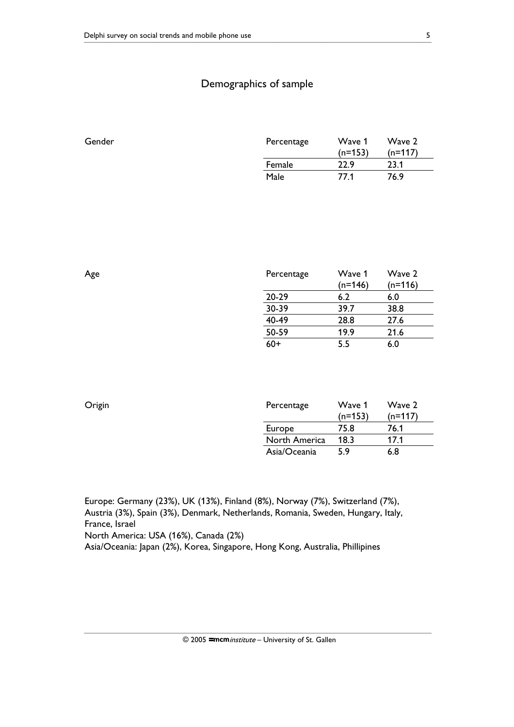# Demographics of sample

 $\overline{\phantom{a}}$  , and the set of the set of the set of the set of the set of the set of the set of the set of the set of the set of the set of the set of the set of the set of the set of the set of the set of the set of the s

| Gender | Percentage | Wave 1    | Wave 2    |  |
|--------|------------|-----------|-----------|--|
|        |            | $(n=153)$ | $(n=117)$ |  |
|        | Female     | 22.9      | 23.1      |  |
|        | Male       | 77 1      | 76.9      |  |

| Age | Percentage | Wave 1<br>$(n=146)$ | Wave 2<br>$(n=116)$ |
|-----|------------|---------------------|---------------------|
|     | 20-29      | 6.2                 | 6.0                 |
|     | 30-39      | 39.7                | 38.8                |
|     | 40-49      | 28.8                | 27.6                |
|     | 50-59      | 19.9                | 21.6                |
|     | $60+$      | 5.5                 | 6.0                 |

| Origin | Percentage    | Wave 1<br>$(n=153)$ | Wave 2<br>$(n=117)$ |
|--------|---------------|---------------------|---------------------|
|        | Europe        | 75.8                | 76.1                |
|        | North America | 18.3                | 17.1                |
|        | Asia/Oceania  | 5.9                 | 6.8                 |

Europe: Germany (23%), UK (13%), Finland (8%), Norway (7%), Switzerland (7%), Austria (3%), Spain (3%), Denmark, Netherlands, Romania, Sweden, Hungary, Italy, France, Israel North America: USA (16%), Canada (2%) Asia/Oceania: Japan (2%), Korea, Singapore, Hong Kong, Australia, Phillipines

 $\textcircled{2005}$  =mcminstitute – University of St. Gallen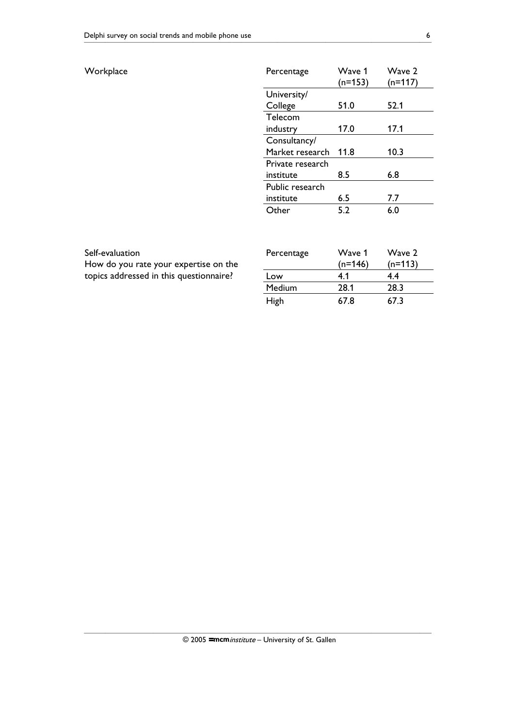$\overline{\phantom{a}}$  , and the set of the set of the set of the set of the set of the set of the set of the set of the set of the set of the set of the set of the set of the set of the set of the set of the set of the set of the s

# Workplace

| Percentage       | Wave 1    | Wave 2    |
|------------------|-----------|-----------|
|                  | $(n=153)$ | $(n=117)$ |
| University/      |           |           |
| College          | 51.0      | 52.1      |
| Telecom          |           |           |
| industry         | 17.0      | 17.1      |
| Consultancy/     |           |           |
| Market research  | 11.8      | 10.3      |
| Private research |           |           |
| institute        | 8.5       | 6.8       |
| Public research  |           |           |
| institute        | 6.5       | 7.7       |
| Other            | 5.2       | 6.0       |

| Self-evaluation |
|-----------------|
|                 |

How do you rate your expertise on the topics addressed in this questionnaire?

| Percentage | Wave 1    | Wave 2    |
|------------|-----------|-----------|
|            | $(n=146)$ | $(n=113)$ |
| Low        | 4.1       | 44        |
| Medium     | 28.1      | 28.3      |
| High       | 67.8      | 67.3      |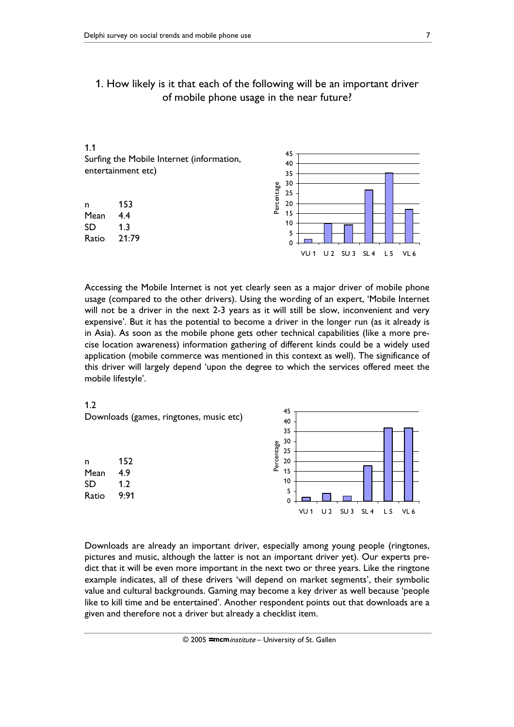1. How likely is it that each of the following will be an important driver of mobile phone usage in the near future?

 $\overline{\phantom{a}}$  , and the state of the state of the state of the state of the state of the state of the state of the state of the state of the state of the state of the state of the state of the state of the state of the stat



Accessing the Mobile Internet is not yet clearly seen as a major driver of mobile phone usage (compared to the other drivers). Using the wording of an expert, 'Mobile Internet will not be a driver in the next 2-3 years as it will still be slow, inconvenient and very expensive'. But it has the potential to become a driver in the longer run (as it already is in Asia). As soon as the mobile phone gets other technical capabilities (like a more precise location awareness) information gathering of different kinds could be a widely used application (mobile commerce was mentioned in this context as well). The significance of this driver will largely depend 'upon the degree to which the services offered meet the mobile lifestyle'.

#### 1.2



Downloads are already an important driver, especially among young people (ringtones, pictures and music, although the latter is not an important driver yet). Our experts predict that it will be even more important in the next two or three years. Like the ringtone example indicates, all of these drivers 'will depend on market segments', their symbolic value and cultural backgrounds. Gaming may become a key driver as well because 'people like to kill time and be entertained'. Another respondent points out that downloads are a given and therefore not a driver but already a checklist item.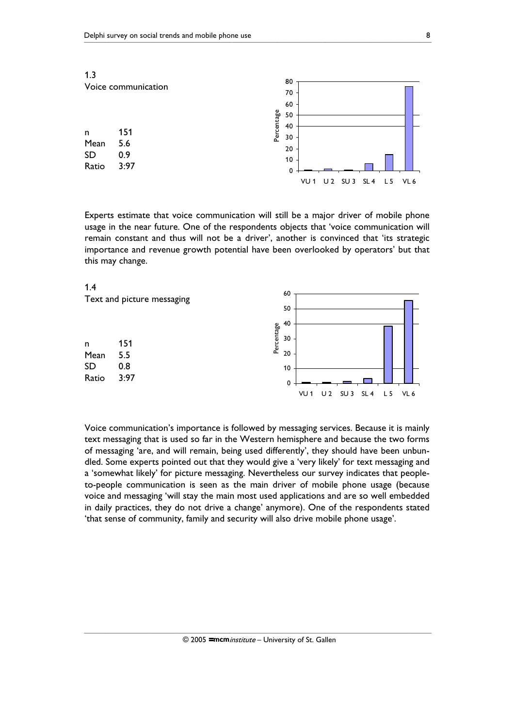

 $\overline{\phantom{a}}$  , and the state of the state of the state of the state of the state of the state of the state of the state of the state of the state of the state of the state of the state of the state of the state of the stat

Experts estimate that voice communication will still be a major driver of mobile phone usage in the near future. One of the respondents objects that 'voice communication will remain constant and thus will not be a driver', another is convinced that 'its strategic importance and revenue growth potential have been overlooked by operators' but that this may change.



Voice communication's importance is followed by messaging services. Because it is mainly text messaging that is used so far in the Western hemisphere and because the two forms of messaging 'are, and will remain, being used differently', they should have been unbundled. Some experts pointed out that they would give a 'very likely' for text messaging and a 'somewhat likely' for picture messaging. Nevertheless our survey indicates that peopleto-people communication is seen as the main driver of mobile phone usage (because voice and messaging 'will stay the main most used applications and are so well embedded in daily practices, they do not drive a change' anymore). One of the respondents stated 'that sense of community, family and security will also drive mobile phone usage'.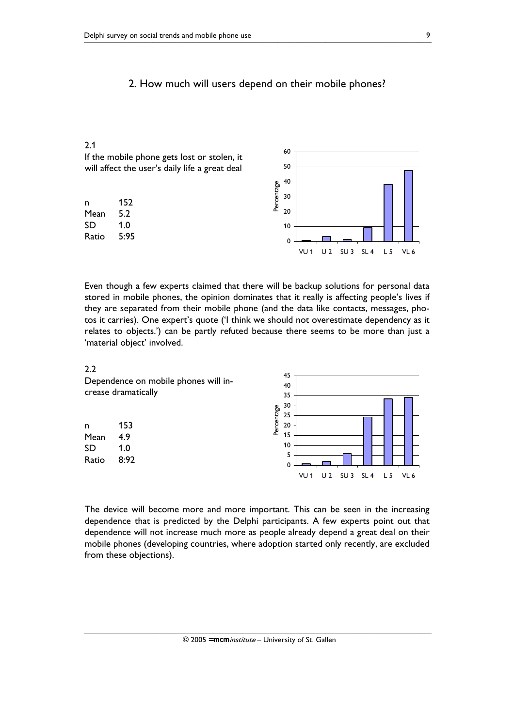### 2. How much will users depend on their mobile phones?

 $\overline{\phantom{a}}$  , and the state of the state of the state of the state of the state of the state of the state of the state of the state of the state of the state of the state of the state of the state of the state of the stat

#### 2.1



Even though a few experts claimed that there will be backup solutions for personal data stored in mobile phones, the opinion dominates that it really is affecting people's lives if they are separated from their mobile phone (and the data like contacts, messages, photos it carries). One expert's quote ('I think we should not overestimate dependency as it relates to objects.') can be partly refuted because there seems to be more than just a 'material object' involved.



The device will become more and more important. This can be seen in the increasing dependence that is predicted by the Delphi participants. A few experts point out that dependence will not increase much more as people already depend a great deal on their mobile phones (developing countries, where adoption started only recently, are excluded from these objections).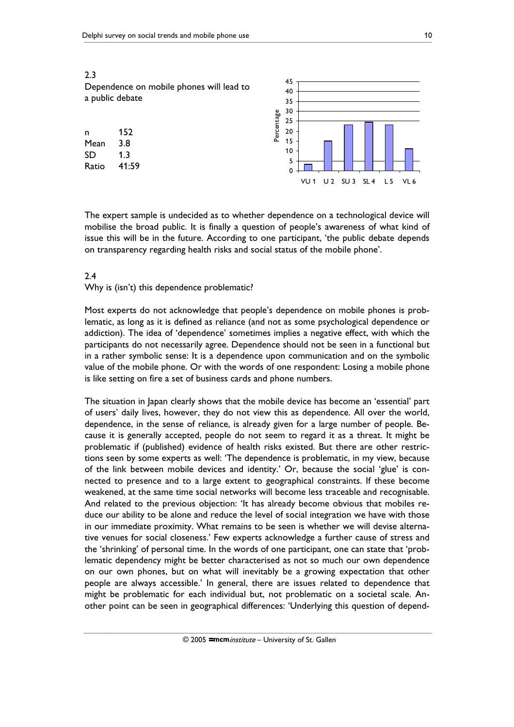

 $\overline{\phantom{a}}$  , and the state of the state of the state of the state of the state of the state of the state of the state of the state of the state of the state of the state of the state of the state of the state of the stat

The expert sample is undecided as to whether dependence on a technological device will mobilise the broad public. It is finally a question of people's awareness of what kind of issue this will be in the future. According to one participant, 'the public debate depends on transparency regarding health risks and social status of the mobile phone'.

#### 2.4

#### Why is (isn't) this dependence problematic?

Most experts do not acknowledge that people's dependence on mobile phones is problematic, as long as it is defined as reliance (and not as some psychological dependence or addiction). The idea of 'dependence' sometimes implies a negative effect, with which the participants do not necessarily agree. Dependence should not be seen in a functional but in a rather symbolic sense: It is a dependence upon communication and on the symbolic value of the mobile phone. Or with the words of one respondent: Losing a mobile phone is like setting on fire a set of business cards and phone numbers.

The situation in Japan clearly shows that the mobile device has become an 'essential' part of users' daily lives, however, they do not view this as dependence. All over the world, dependence, in the sense of reliance, is already given for a large number of people. Because it is generally accepted, people do not seem to regard it as a threat. It might be problematic if (published) evidence of health risks existed. But there are other restrictions seen by some experts as well: 'The dependence is problematic, in my view, because of the link between mobile devices and identity.' Or, because the social 'glue' is connected to presence and to a large extent to geographical constraints. If these become weakened, at the same time social networks will become less traceable and recognisable. And related to the previous objection: 'It has already become obvious that mobiles reduce our ability to be alone and reduce the level of social integration we have with those in our immediate proximity. What remains to be seen is whether we will devise alternative venues for social closeness.' Few experts acknowledge a further cause of stress and the 'shrinking' of personal time. In the words of one participant, one can state that 'problematic dependency might be better characterised as not so much our own dependence on our own phones, but on what will inevitably be a growing expectation that other people are always accessible.' In general, there are issues related to dependence that might be problematic for each individual but, not problematic on a societal scale. Another point can be seen in geographical differences: 'Underlying this question of depend-

VU1 U2 SU3 SL4 L5 VL6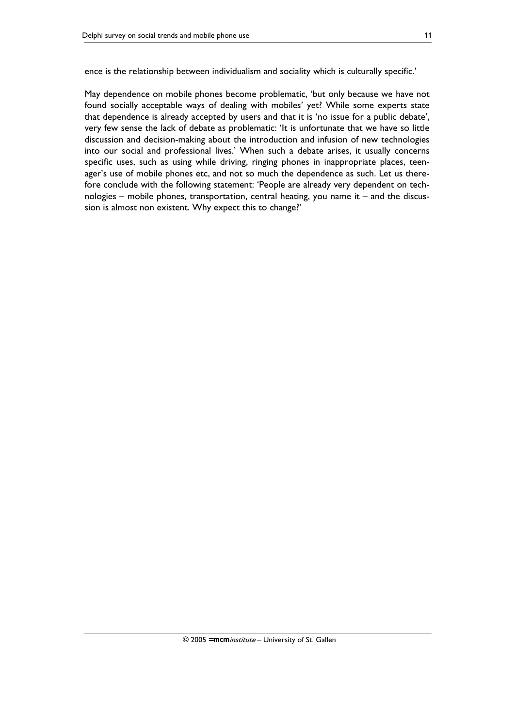ence is the relationship between individualism and sociality which is culturally specific.'

 $\overline{\phantom{a}}$  , and the state of the state of the state of the state of the state of the state of the state of the state of the state of the state of the state of the state of the state of the state of the state of the stat

May dependence on mobile phones become problematic, 'but only because we have not found socially acceptable ways of dealing with mobiles' yet? While some experts state that dependence is already accepted by users and that it is 'no issue for a public debate', very few sense the lack of debate as problematic: 'It is unfortunate that we have so little discussion and decision-making about the introduction and infusion of new technologies into our social and professional lives.' When such a debate arises, it usually concerns specific uses, such as using while driving, ringing phones in inappropriate places, teenager's use of mobile phones etc, and not so much the dependence as such. Let us therefore conclude with the following statement: 'People are already very dependent on technologies – mobile phones, transportation, central heating, you name it – and the discussion is almost non existent. Why expect this to change?'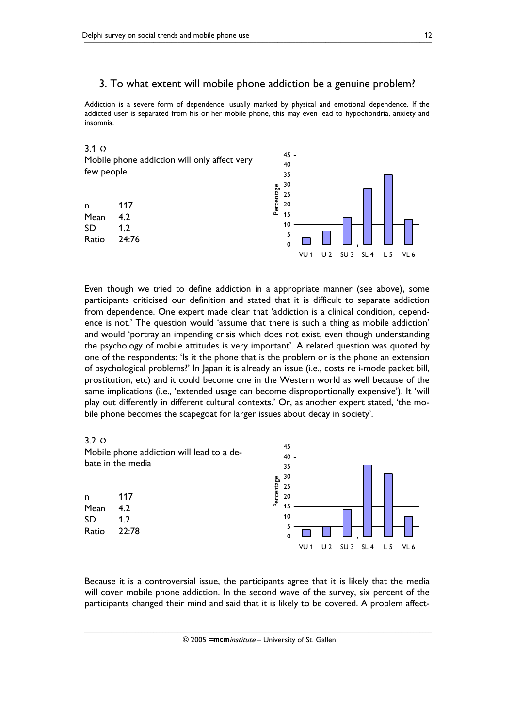# 3. To what extent will mobile phone addiction be a genuine problem?

 $\overline{\phantom{a}}$  , and the state of the state of the state of the state of the state of the state of the state of the state of the state of the state of the state of the state of the state of the state of the state of the stat

Addiction is a severe form of dependence, usually marked by physical and emotional dependence. If the addicted user is separated from his or her mobile phone, this may even lead to hypochondria, anxiety and insomnia.



Even though we tried to define addiction in a appropriate manner (see above), some participants criticised our definition and stated that it is difficult to separate addiction from dependence. One expert made clear that 'addiction is a clinical condition, dependence is not.' The question would 'assume that there is such a thing as mobile addiction' and would 'portray an impending crisis which does not exist, even though understanding the psychology of mobile attitudes is very important'. A related question was quoted by one of the respondents: 'Is it the phone that is the problem or is the phone an extension of psychological problems?' In Japan it is already an issue (i.e., costs re i-mode packet bill, prostitution, etc) and it could become one in the Western world as well because of the same implications (i.e., 'extended usage can become disproportionally expensive'). It 'will play out differently in different cultural contexts.' Or, as another expert stated, 'the mobile phone becomes the scapegoat for larger issues about decay in society'.



Because it is a controversial issue, the participants agree that it is likely that the media will cover mobile phone addiction. In the second wave of the survey, six percent of the participants changed their mind and said that it is likely to be covered. A problem affect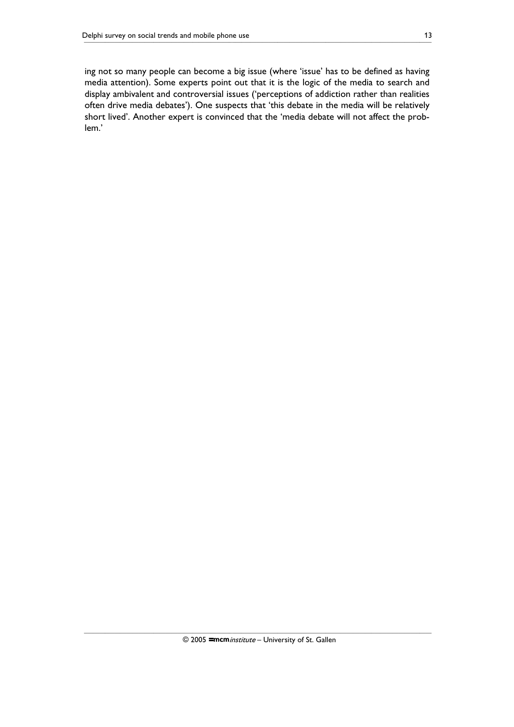ing not so many people can become a big issue (where 'issue' has to be defined as having media attention). Some experts point out that it is the logic of the media to search and display ambivalent and controversial issues ('perceptions of addiction rather than realities often drive media debates'). One suspects that 'this debate in the media will be relatively short lived'. Another expert is convinced that the 'media debate will not affect the problem.'

 $\overline{\phantom{a}}$  , and the state of the state of the state of the state of the state of the state of the state of the state of the state of the state of the state of the state of the state of the state of the state of the stat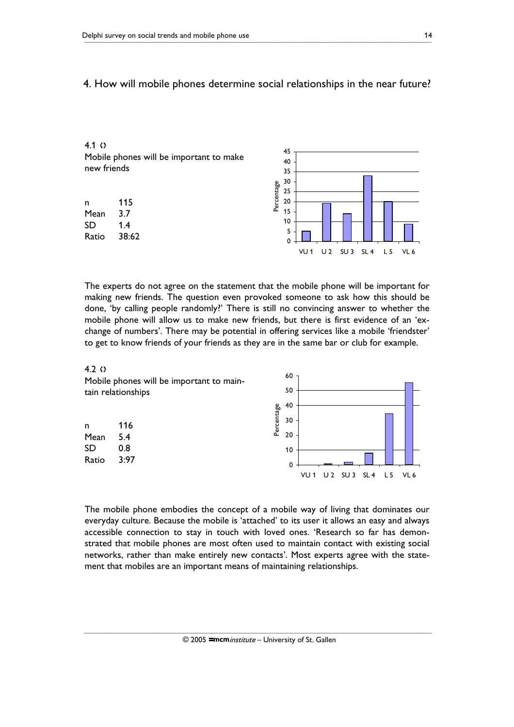# 4. How will mobile phones determine social relationships in the near future?

 $\overline{\phantom{a}}$  , and the state of the state of the state of the state of the state of the state of the state of the state of the state of the state of the state of the state of the state of the state of the state of the stat



The experts do not agree on the statement that the mobile phone will be important for making new friends. The question even provoked someone to ask how this should be done, 'by calling people randomly?' There is still no convincing answer to whether the mobile phone will allow us to make new friends, but there is first evidence of an 'exchange of numbers'. There may be potential in offering services like a mobile 'friendster' to get to know friends of your friends as they are in the same bar or club for example.



The mobile phone embodies the concept of a mobile way of living that dominates our everyday culture. Because the mobile is 'attached' to its user it allows an easy and always accessible connection to stay in touch with loved ones. 'Research so far has demonstrated that mobile phones are most often used to maintain contact with existing social networks, rather than make entirely new contacts'. Most experts agree with the statement that mobiles are an important means of maintaining relationships.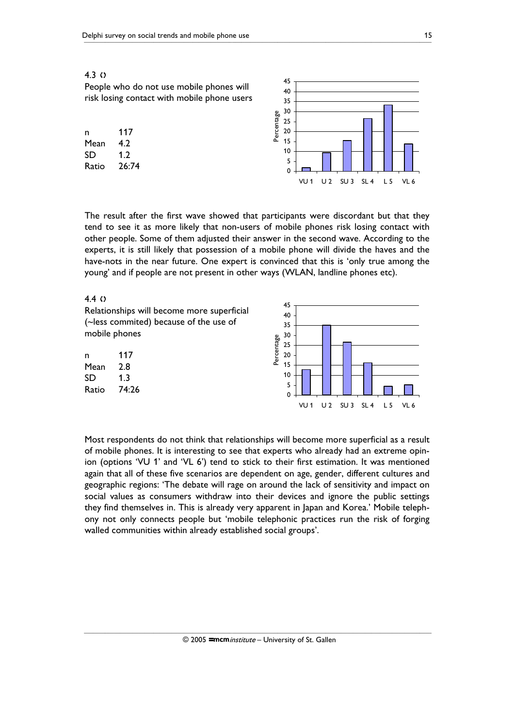

 $\overline{\phantom{a}}$  , and the state of the state of the state of the state of the state of the state of the state of the state of the state of the state of the state of the state of the state of the state of the state of the stat

The result after the first wave showed that participants were discordant but that they tend to see it as more likely that non-users of mobile phones risk losing contact with other people. Some of them adjusted their answer in the second wave. According to the experts, it is still likely that possession of a mobile phone will divide the haves and the have-nots in the near future. One expert is convinced that this is 'only true among the young' and if people are not present in other ways (WLAN, landline phones etc).



Most respondents do not think that relationships will become more superficial as a result of mobile phones. It is interesting to see that experts who already had an extreme opinion (options 'VU 1' and 'VL 6') tend to stick to their first estimation. It was mentioned again that all of these five scenarios are dependent on age, gender, different cultures and geographic regions: 'The debate will rage on around the lack of sensitivity and impact on social values as consumers withdraw into their devices and ignore the public settings they find themselves in. This is already very apparent in Japan and Korea.' Mobile telephony not only connects people but 'mobile telephonic practices run the risk of forging walled communities within already established social groups'.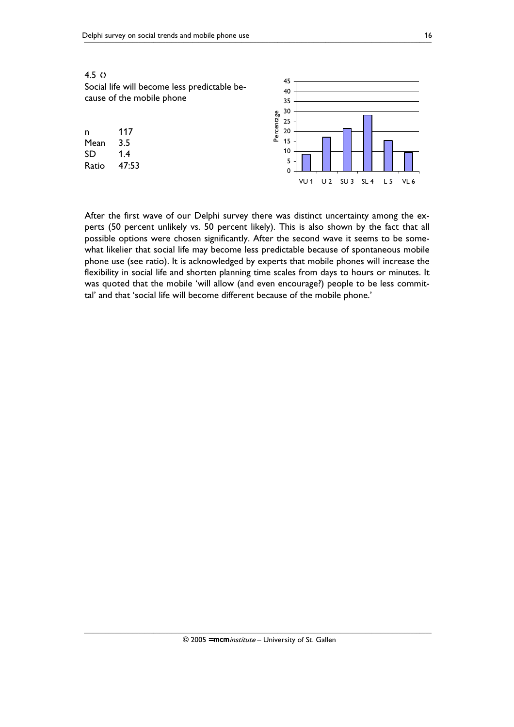

 $\overline{\phantom{a}}$  , and the set of the set of the set of the set of the set of the set of the set of the set of the set of the set of the set of the set of the set of the set of the set of the set of the set of the set of the s

After the first wave of our Delphi survey there was distinct uncertainty among the experts (50 percent unlikely vs. 50 percent likely). This is also shown by the fact that all possible options were chosen significantly. After the second wave it seems to be somewhat likelier that social life may become less predictable because of spontaneous mobile phone use (see ratio). It is acknowledged by experts that mobile phones will increase the flexibility in social life and shorten planning time scales from days to hours or minutes. It was quoted that the mobile 'will allow (and even encourage?) people to be less committal' and that 'social life will become different because of the mobile phone.'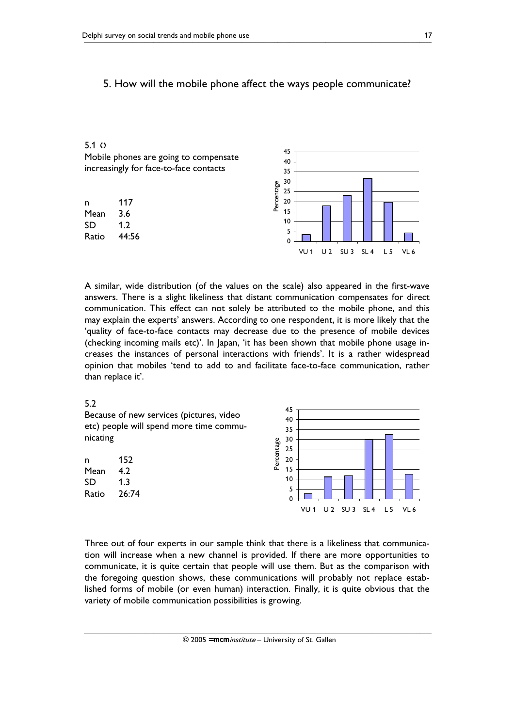# 5. How will the mobile phone affect the ways people communicate?

 $\overline{\phantom{a}}$  , and the set of the set of the set of the set of the set of the set of the set of the set of the set of the set of the set of the set of the set of the set of the set of the set of the set of the set of the s



A similar, wide distribution (of the values on the scale) also appeared in the first-wave answers. There is a slight likeliness that distant communication compensates for direct communication. This effect can not solely be attributed to the mobile phone, and this may explain the experts' answers. According to one respondent, it is more likely that the 'quality of face-to-face contacts may decrease due to the presence of mobile devices (checking incoming mails etc)'. In Japan, 'it has been shown that mobile phone usage increases the instances of personal interactions with friends'. It is a rather widespread opinion that mobiles 'tend to add to and facilitate face-to-face communication, rather than replace it'.

### 5.2



Three out of four experts in our sample think that there is a likeliness that communication will increase when a new channel is provided. If there are more opportunities to communicate, it is quite certain that people will use them. But as the comparison with the foregoing question shows, these communications will probably not replace established forms of mobile (or even human) interaction. Finally, it is quite obvious that the variety of mobile communication possibilities is growing.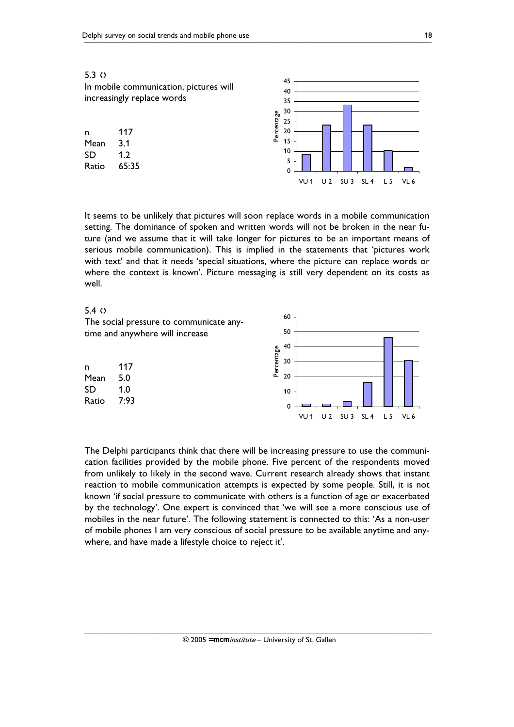

 $\overline{\phantom{a}}$  , and the set of the set of the set of the set of the set of the set of the set of the set of the set of the set of the set of the set of the set of the set of the set of the set of the set of the set of the s

It seems to be unlikely that pictures will soon replace words in a mobile communication setting. The dominance of spoken and written words will not be broken in the near future (and we assume that it will take longer for pictures to be an important means of serious mobile communication). This is implied in the statements that 'pictures work with text' and that it needs 'special situations, where the picture can replace words or where the context is known'. Picture messaging is still very dependent on its costs as well.



The Delphi participants think that there will be increasing pressure to use the communication facilities provided by the mobile phone. Five percent of the respondents moved from unlikely to likely in the second wave. Current research already shows that instant reaction to mobile communication attempts is expected by some people. Still, it is not known 'if social pressure to communicate with others is a function of age or exacerbated by the technology'. One expert is convinced that 'we will see a more conscious use of mobiles in the near future'. The following statement is connected to this: 'As a non-user of mobile phones I am very conscious of social pressure to be available anytime and anywhere, and have made a lifestyle choice to reject it'.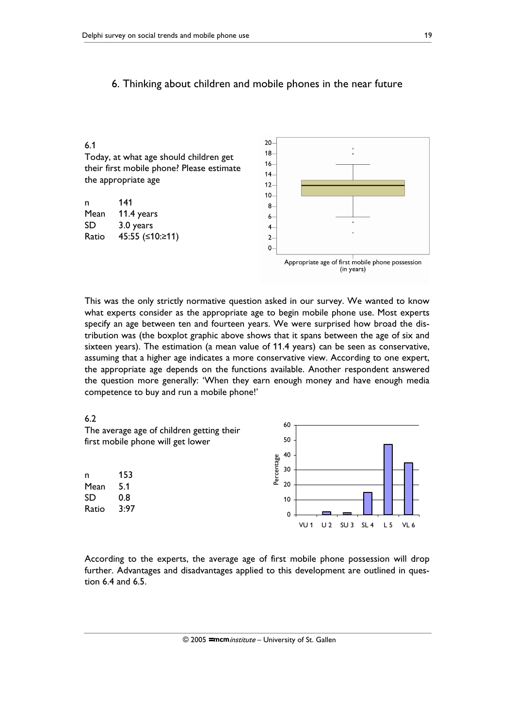# 6. Thinking about children and mobile phones in the near future

 $\overline{\phantom{a}}$  , and the set of the set of the set of the set of the set of the set of the set of the set of the set of the set of the set of the set of the set of the set of the set of the set of the set of the set of the s



This was the only strictly normative question asked in our survey. We wanted to know what experts consider as the appropriate age to begin mobile phone use. Most experts specify an age between ten and fourteen years. We were surprised how broad the distribution was (the boxplot graphic above shows that it spans between the age of six and sixteen years). The estimation (a mean value of 11.4 years) can be seen as conservative, assuming that a higher age indicates a more conservative view. According to one expert, the appropriate age depends on the functions available. Another respondent answered the question more generally: 'When they earn enough money and have enough media competence to buy and run a mobile phone!'





According to the experts, the average age of first mobile phone possession will drop further. Advantages and disadvantages applied to this development are outlined in question 6.4 and 6.5.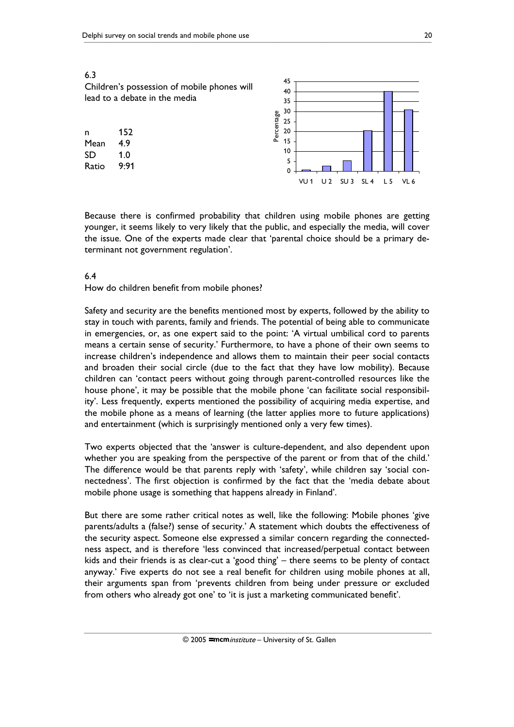

 $\overline{\phantom{a}}$  , and the set of the set of the set of the set of the set of the set of the set of the set of the set of the set of the set of the set of the set of the set of the set of the set of the set of the set of the s

Because there is confirmed probability that children using mobile phones are getting younger, it seems likely to very likely that the public, and especially the media, will cover the issue. One of the experts made clear that 'parental choice should be a primary determinant not government regulation'.

#### 6.4

How do children benefit from mobile phones?

Safety and security are the benefits mentioned most by experts, followed by the ability to stay in touch with parents, family and friends. The potential of being able to communicate in emergencies, or, as one expert said to the point: 'A virtual umbilical cord to parents means a certain sense of security.' Furthermore, to have a phone of their own seems to increase children's independence and allows them to maintain their peer social contacts and broaden their social circle (due to the fact that they have low mobility). Because children can 'contact peers without going through parent-controlled resources like the house phone', it may be possible that the mobile phone 'can facilitate social responsibility'. Less frequently, experts mentioned the possibility of acquiring media expertise, and the mobile phone as a means of learning (the latter applies more to future applications) and entertainment (which is surprisingly mentioned only a very few times).

Two experts objected that the 'answer is culture-dependent, and also dependent upon whether you are speaking from the perspective of the parent or from that of the child.' The difference would be that parents reply with 'safety', while children say 'social connectedness'. The first objection is confirmed by the fact that the 'media debate about mobile phone usage is something that happens already in Finland'.

But there are some rather critical notes as well, like the following: Mobile phones 'give parents/adults a (false?) sense of security.' A statement which doubts the effectiveness of the security aspect. Someone else expressed a similar concern regarding the connectedness aspect, and is therefore 'less convinced that increased/perpetual contact between kids and their friends is as clear-cut a 'good thing' – there seems to be plenty of contact anyway.' Five experts do not see a real benefit for children using mobile phones at all, their arguments span from 'prevents children from being under pressure or excluded from others who already got one' to 'it is just a marketing communicated benefit'.

VU1 U2 SU3 SL4 L5 VL6

#### 6.3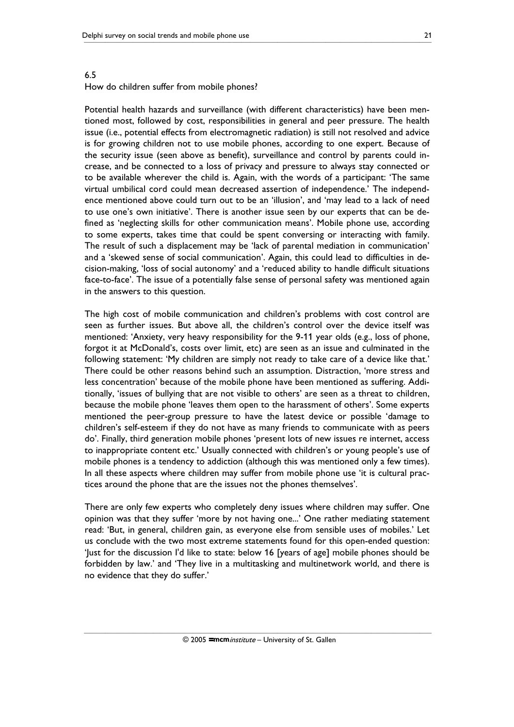#### 6.5

#### How do children suffer from mobile phones?

Potential health hazards and surveillance (with different characteristics) have been mentioned most, followed by cost, responsibilities in general and peer pressure. The health issue (i.e., potential effects from electromagnetic radiation) is still not resolved and advice is for growing children not to use mobile phones, according to one expert. Because of the security issue (seen above as benefit), surveillance and control by parents could increase, and be connected to a loss of privacy and pressure to always stay connected or to be available wherever the child is. Again, with the words of a participant: 'The same virtual umbilical cord could mean decreased assertion of independence.' The independence mentioned above could turn out to be an 'illusion', and 'may lead to a lack of need to use one's own initiative'. There is another issue seen by our experts that can be defined as 'neglecting skills for other communication means'. Mobile phone use, according to some experts, takes time that could be spent conversing or interacting with family. The result of such a displacement may be 'lack of parental mediation in communication' and a 'skewed sense of social communication'. Again, this could lead to difficulties in decision-making, 'loss of social autonomy' and a 'reduced ability to handle difficult situations face-to-face'. The issue of a potentially false sense of personal safety was mentioned again in the answers to this question.

 $\overline{\phantom{a}}$  , and the set of the set of the set of the set of the set of the set of the set of the set of the set of the set of the set of the set of the set of the set of the set of the set of the set of the set of the s

The high cost of mobile communication and children's problems with cost control are seen as further issues. But above all, the children's control over the device itself was mentioned: 'Anxiety, very heavy responsibility for the 9-11 year olds (e.g., loss of phone, forgot it at McDonald's, costs over limit, etc) are seen as an issue and culminated in the following statement: 'My children are simply not ready to take care of a device like that.' There could be other reasons behind such an assumption. Distraction, 'more stress and less concentration' because of the mobile phone have been mentioned as suffering. Additionally, 'issues of bullying that are not visible to others' are seen as a threat to children, because the mobile phone 'leaves them open to the harassment of others'. Some experts mentioned the peer-group pressure to have the latest device or possible 'damage to children's self-esteem if they do not have as many friends to communicate with as peers do'. Finally, third generation mobile phones 'present lots of new issues re internet, access to inappropriate content etc.' Usually connected with children's or young people's use of mobile phones is a tendency to addiction (although this was mentioned only a few times). In all these aspects where children may suffer from mobile phone use 'it is cultural practices around the phone that are the issues not the phones themselves'.

There are only few experts who completely deny issues where children may suffer. One opinion was that they suffer 'more by not having one...' One rather mediating statement read: 'But, in general, children gain, as everyone else from sensible uses of mobiles.' Let us conclude with the two most extreme statements found for this open-ended question: 'Just for the discussion I'd like to state: below 16 [years of age] mobile phones should be forbidden by law.' and 'They live in a multitasking and multinetwork world, and there is no evidence that they do suffer.'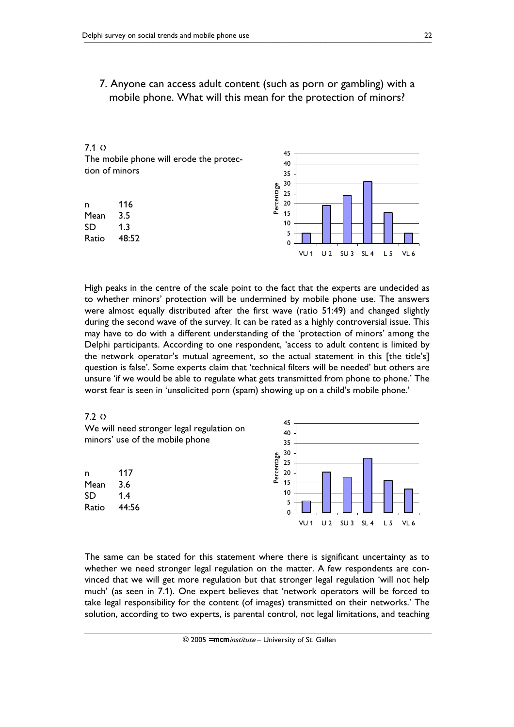# 7. Anyone can access adult content (such as porn or gambling) with a mobile phone. What will this mean for the protection of minors?

 $\overline{\phantom{a}}$  , and the set of the set of the set of the set of the set of the set of the set of the set of the set of the set of the set of the set of the set of the set of the set of the set of the set of the set of the s



High peaks in the centre of the scale point to the fact that the experts are undecided as to whether minors' protection will be undermined by mobile phone use. The answers were almost equally distributed after the first wave (ratio 51:49) and changed slightly during the second wave of the survey. It can be rated as a highly controversial issue. This may have to do with a different understanding of the 'protection of minors' among the Delphi participants. According to one respondent, 'access to adult content is limited by the network operator's mutual agreement, so the actual statement in this [the title's] question is false'. Some experts claim that 'technical filters will be needed' but others are unsure 'if we would be able to regulate what gets transmitted from phone to phone.' The worst fear is seen in 'unsolicited porn (spam) showing up on a child's mobile phone.'





The same can be stated for this statement where there is significant uncertainty as to whether we need stronger legal regulation on the matter. A few respondents are convinced that we will get more regulation but that stronger legal regulation 'will not help much' (as seen in 7.1). One expert believes that 'network operators will be forced to take legal responsibility for the content (of images) transmitted on their networks.' The solution, according to two experts, is parental control, not legal limitations, and teaching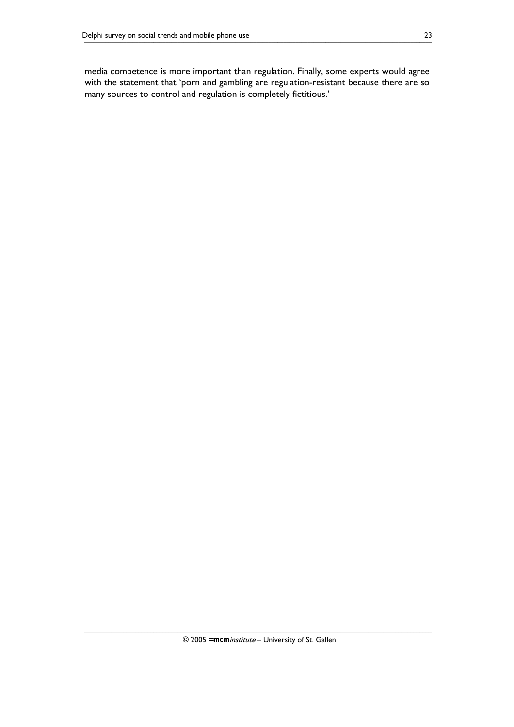media competence is more important than regulation. Finally, some experts would agree with the statement that 'porn and gambling are regulation-resistant because there are so many sources to control and regulation is completely fictitious.'

 $\overline{\phantom{a}}$  , and the set of the set of the set of the set of the set of the set of the set of the set of the set of the set of the set of the set of the set of the set of the set of the set of the set of the set of the s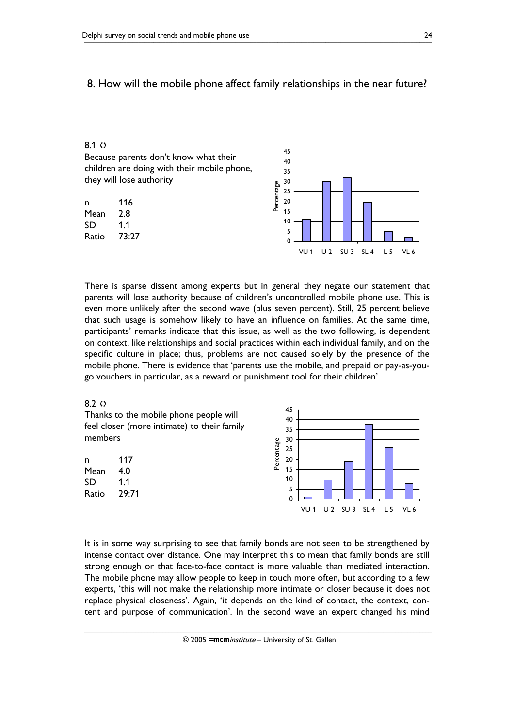# 8. How will the mobile phone affect family relationships in the near future?

 $\overline{\phantom{a}}$  , and the set of the set of the set of the set of the set of the set of the set of the set of the set of the set of the set of the set of the set of the set of the set of the set of the set of the set of the s

#### $8.1()$ Because parents don't know what their children are doing with their mobile phone, they will lose authority n Mean SD Ratio 116 2.8 1.1 5 10 15 20 25 30 35 40 45 Percentage

73:27 <sup>0</sup>

There is sparse dissent among experts but in general they negate our statement that parents will lose authority because of children's uncontrolled mobile phone use. This is even more unlikely after the second wave (plus seven percent). Still, 25 percent believe that such usage is somehow likely to have an influence on families. At the same time, participants' remarks indicate that this issue, as well as the two following, is dependent on context, like relationships and social practices within each individual family, and on the specific culture in place; thus, problems are not caused solely by the presence of the mobile phone. There is evidence that 'parents use the mobile, and prepaid or pay-as-yougo vouchers in particular, as a reward or punishment tool for their children'.

VU1 U2 SU3 SL4 L5 VL6

#### 8.20



It is in some way surprising to see that family bonds are not seen to be strengthened by intense contact over distance. One may interpret this to mean that family bonds are still strong enough or that face-to-face contact is more valuable than mediated interaction. The mobile phone may allow people to keep in touch more often, but according to a few experts, 'this will not make the relationship more intimate or closer because it does not replace physical closeness'. Again, 'it depends on the kind of contact, the context, content and purpose of communication'. In the second wave an expert changed his mind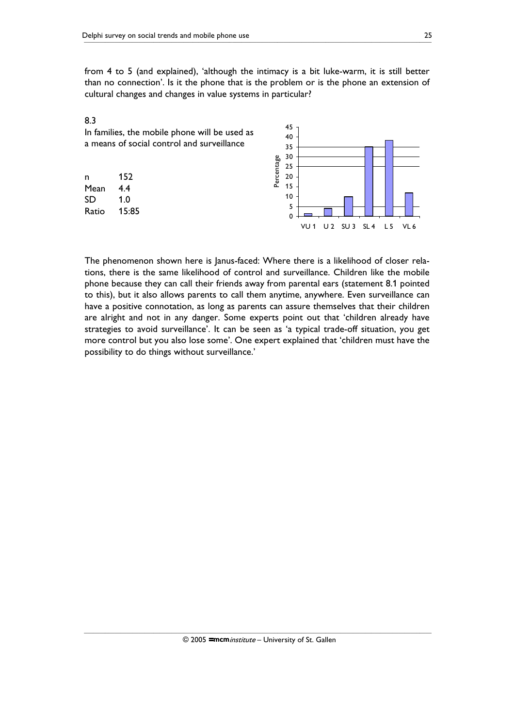from 4 to 5 (and explained), 'although the intimacy is a bit luke-warm, it is still better than no connection'. Is it the phone that is the problem or is the phone an extension of cultural changes and changes in value systems in particular?

 $\overline{\phantom{a}}$  , and the set of the set of the set of the set of the set of the set of the set of the set of the set of the set of the set of the set of the set of the set of the set of the set of the set of the set of the s



The phenomenon shown here is Janus-faced: Where there is a likelihood of closer relations, there is the same likelihood of control and surveillance. Children like the mobile phone because they can call their friends away from parental ears (statement 8.1 pointed to this), but it also allows parents to call them anytime, anywhere. Even surveillance can have a positive connotation, as long as parents can assure themselves that their children are alright and not in any danger. Some experts point out that 'children already have strategies to avoid surveillance'. It can be seen as 'a typical trade-off situation, you get more control but you also lose some'. One expert explained that 'children must have the possibility to do things without surveillance.'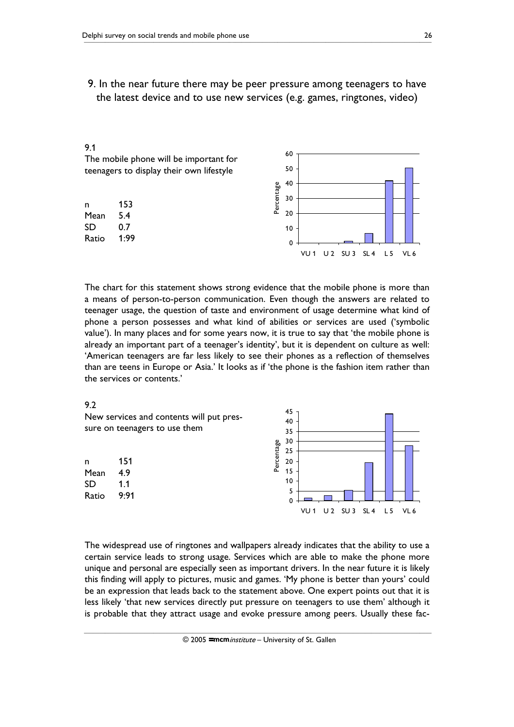9. In the near future there may be peer pressure among teenagers to have the latest device and to use new services (e.g. games, ringtones, video)

 $\overline{\phantom{a}}$  , and the set of the set of the set of the set of the set of the set of the set of the set of the set of the set of the set of the set of the set of the set of the set of the set of the set of the set of the s



The chart for this statement shows strong evidence that the mobile phone is more than a means of person-to-person communication. Even though the answers are related to teenager usage, the question of taste and environment of usage determine what kind of phone a person possesses and what kind of abilities or services are used ('symbolic value'). In many places and for some years now, it is true to say that 'the mobile phone is already an important part of a teenager's identity', but it is dependent on culture as well: 'American teenagers are far less likely to see their phones as a reflection of themselves than are teens in Europe or Asia.' It looks as if 'the phone is the fashion item rather than the services or contents.'

#### 9.2



The widespread use of ringtones and wallpapers already indicates that the ability to use a certain service leads to strong usage. Services which are able to make the phone more unique and personal are especially seen as important drivers. In the near future it is likely this finding will apply to pictures, music and games. 'My phone is better than yours' could be an expression that leads back to the statement above. One expert points out that it is less likely 'that new services directly put pressure on teenagers to use them' although it is probable that they attract usage and evoke pressure among peers. Usually these fac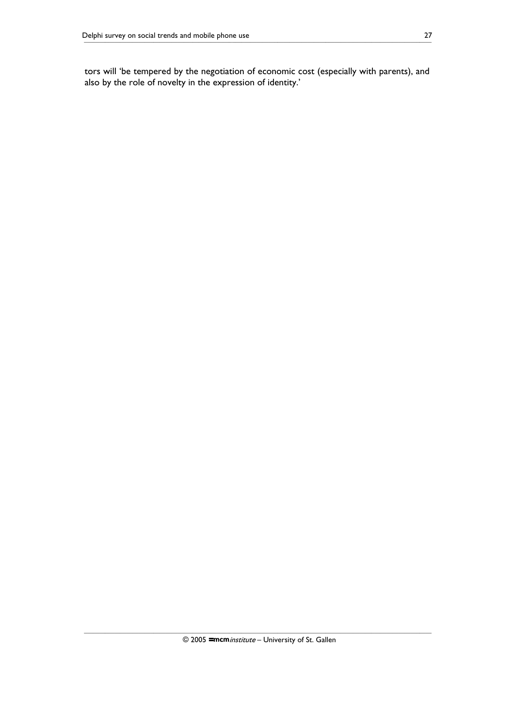tors will 'be tempered by the negotiation of economic cost (especially with parents), and also by the role of novelty in the expression of identity.'

 $\overline{\phantom{a}}$  , and the set of the set of the set of the set of the set of the set of the set of the set of the set of the set of the set of the set of the set of the set of the set of the set of the set of the set of the s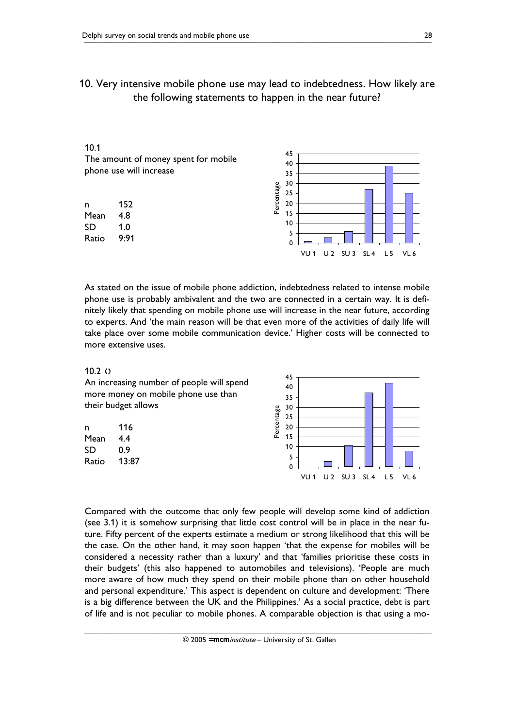# 10. Very intensive mobile phone use may lead to indebtedness. How likely are the following statements to happen in the near future?

 $\overline{\phantom{a}}$  , and the set of the set of the set of the set of the set of the set of the set of the set of the set of the set of the set of the set of the set of the set of the set of the set of the set of the set of the s



As stated on the issue of mobile phone addiction, indebtedness related to intense mobile phone use is probably ambivalent and the two are connected in a certain way. It is definitely likely that spending on mobile phone use will increase in the near future, according to experts. And 'the main reason will be that even more of the activities of daily life will take place over some mobile communication device.' Higher costs will be connected to more extensive uses.

#### $10.2<sub>c</sub>$



Compared with the outcome that only few people will develop some kind of addiction (see 3.1) it is somehow surprising that little cost control will be in place in the near future. Fifty percent of the experts estimate a medium or strong likelihood that this will be the case. On the other hand, it may soon happen 'that the expense for mobiles will be considered a necessity rather than a luxury' and that 'families prioritise these costs in their budgets' (this also happened to automobiles and televisions). 'People are much more aware of how much they spend on their mobile phone than on other household and personal expenditure.' This aspect is dependent on culture and development: 'There is a big difference between the UK and the Philippines.' As a social practice, debt is part of life and is not peculiar to mobile phones. A comparable objection is that using a mo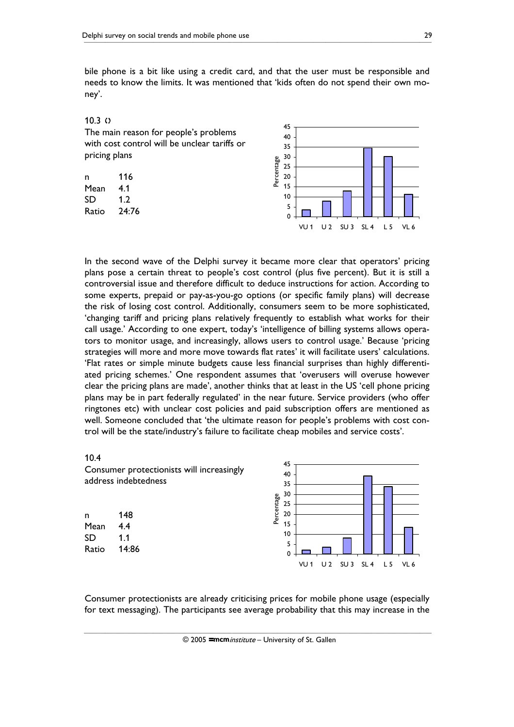bile phone is a bit like using a credit card, and that the user must be responsible and needs to know the limits. It was mentioned that 'kids often do not spend their own money'.

 $\overline{\phantom{a}}$  , and the set of the set of the set of the set of the set of the set of the set of the set of the set of the set of the set of the set of the set of the set of the set of the set of the set of the set of the s

#### $10.3<sub>o</sub>$

The main reason for people's problems with cost control will be unclear tariffs or pricing plans

n Mean SD Ratio 116 4.1 1.2



In the second wave of the Delphi survey it became more clear that operators' pricing plans pose a certain threat to people's cost control (plus five percent). But it is still a controversial issue and therefore difficult to deduce instructions for action. According to some experts, prepaid or pay-as-you-go options (or specific family plans) will decrease the risk of losing cost control. Additionally, consumers seem to be more sophisticated, 'changing tariff and pricing plans relatively frequently to establish what works for their call usage.' According to one expert, today's 'intelligence of billing systems allows operators to monitor usage, and increasingly, allows users to control usage.' Because 'pricing strategies will more and more move towards flat rates' it will facilitate users' calculations. 'Flat rates or simple minute budgets cause less financial surprises than highly differentiated pricing schemes.' One respondent assumes that 'overusers will overuse however clear the pricing plans are made', another thinks that at least in the US 'cell phone pricing plans may be in part federally regulated' in the near future. Service providers (who offer ringtones etc) with unclear cost policies and paid subscription offers are mentioned as well. Someone concluded that 'the ultimate reason for people's problems with cost control will be the state/industry's failure to facilitate cheap mobiles and service costs'.



Consumer protectionists are already criticising prices for mobile phone usage (especially for text messaging). The participants see average probability that this may increase in the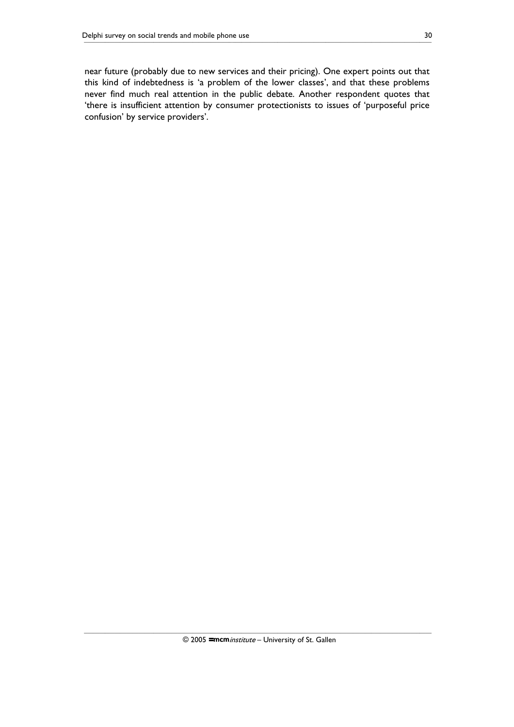near future (probably due to new services and their pricing). One expert points out that this kind of indebtedness is 'a problem of the lower classes', and that these problems never find much real attention in the public debate. Another respondent quotes that 'there is insufficient attention by consumer protectionists to issues of 'purposeful price confusion' by service providers'.

 $\overline{\phantom{a}}$  , and the set of the set of the set of the set of the set of the set of the set of the set of the set of the set of the set of the set of the set of the set of the set of the set of the set of the set of the s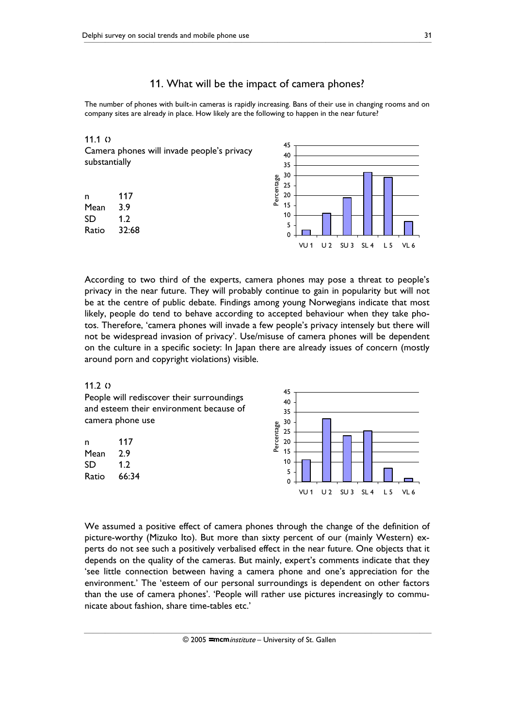# 11. What will be the impact of camera phones?

 $\overline{\phantom{a}}$  , and the set of the set of the set of the set of the set of the set of the set of the set of the set of the set of the set of the set of the set of the set of the set of the set of the set of the set of the s

The number of phones with built-in cameras is rapidly increasing. Bans of their use in changing rooms and on company sites are already in place. How likely are the following to happen in the near future?



According to two third of the experts, camera phones may pose a threat to people's privacy in the near future. They will probably continue to gain in popularity but will not be at the centre of public debate. Findings among young Norwegians indicate that most likely, people do tend to behave according to accepted behaviour when they take photos. Therefore, 'camera phones will invade a few people's privacy intensely but there will not be widespread invasion of privacy'. Use/misuse of camera phones will be dependent on the culture in a specific society: In Japan there are already issues of concern (mostly around porn and copyright violations) visible.

#### $11.2<sub>0</sub>$



We assumed a positive effect of camera phones through the change of the definition of picture-worthy (Mizuko Ito). But more than sixty percent of our (mainly Western) experts do not see such a positively verbalised effect in the near future. One objects that it depends on the quality of the cameras. But mainly, expert's comments indicate that they 'see little connection between having a camera phone and one's appreciation for the environment.' The 'esteem of our personal surroundings is dependent on other factors than the use of camera phones'. 'People will rather use pictures increasingly to communicate about fashion, share time-tables etc.'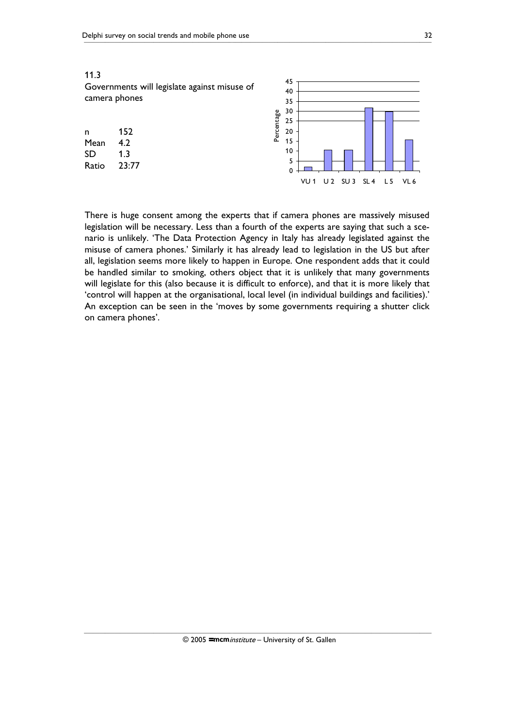

 $\overline{\phantom{a}}$  , and the set of the set of the set of the set of the set of the set of the set of the set of the set of the set of the set of the set of the set of the set of the set of the set of the set of the set of the s

There is huge consent among the experts that if camera phones are massively misused legislation will be necessary. Less than a fourth of the experts are saying that such a scenario is unlikely. 'The Data Protection Agency in Italy has already legislated against the misuse of camera phones.' Similarly it has already lead to legislation in the US but after all, legislation seems more likely to happen in Europe. One respondent adds that it could be handled similar to smoking, others object that it is unlikely that many governments will legislate for this (also because it is difficult to enforce), and that it is more likely that 'control will happen at the organisational, local level (in individual buildings and facilities).' An exception can be seen in the 'moves by some governments requiring a shutter click on camera phones'.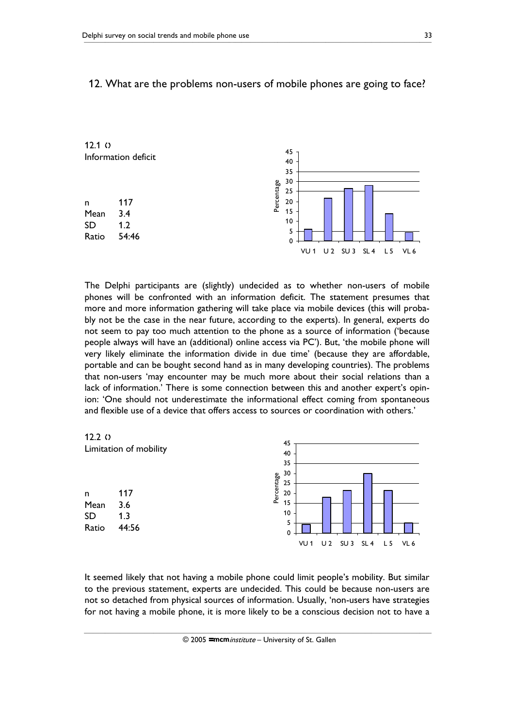# 12. What are the problems non-users of mobile phones are going to face?

 $\overline{\phantom{a}}$  , and the set of the set of the set of the set of the set of the set of the set of the set of the set of the set of the set of the set of the set of the set of the set of the set of the set of the set of the s



The Delphi participants are (slightly) undecided as to whether non-users of mobile phones will be confronted with an information deficit. The statement presumes that more and more information gathering will take place via mobile devices (this will probably not be the case in the near future, according to the experts). In general, experts do not seem to pay too much attention to the phone as a source of information ('because people always will have an (additional) online access via PC'). But, 'the mobile phone will very likely eliminate the information divide in due time' (because they are affordable, portable and can be bought second hand as in many developing countries). The problems that non-users 'may encounter may be much more about their social relations than a lack of information.' There is some connection between this and another expert's opinion: 'One should not underestimate the informational effect coming from spontaneous and flexible use of a device that offers access to sources or coordination with others.'



It seemed likely that not having a mobile phone could limit people's mobility. But similar to the previous statement, experts are undecided. This could be because non-users are not so detached from physical sources of information. Usually, 'non-users have strategies for not having a mobile phone, it is more likely to be a conscious decision not to have a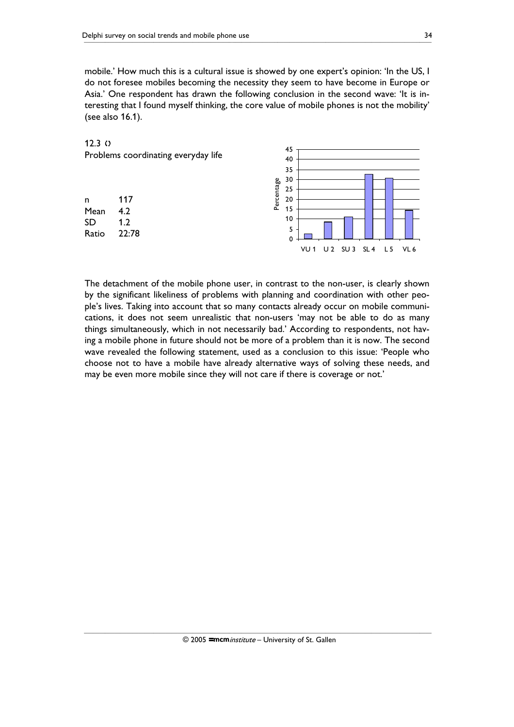mobile.' How much this is a cultural issue is showed by one expert's opinion: 'In the US, I do not foresee mobiles becoming the necessity they seem to have become in Europe or Asia.' One respondent has drawn the following conclusion in the second wave: 'It is interesting that I found myself thinking, the core value of mobile phones is not the mobility' (see also 16.1).

 $\overline{\phantom{a}}$  , and the set of the set of the set of the set of the set of the set of the set of the set of the set of the set of the set of the set of the set of the set of the set of the set of the set of the set of the s



The detachment of the mobile phone user, in contrast to the non-user, is clearly shown by the significant likeliness of problems with planning and coordination with other people's lives. Taking into account that so many contacts already occur on mobile communications, it does not seem unrealistic that non-users 'may not be able to do as many things simultaneously, which in not necessarily bad.' According to respondents, not having a mobile phone in future should not be more of a problem than it is now. The second wave revealed the following statement, used as a conclusion to this issue: 'People who choose not to have a mobile have already alternative ways of solving these needs, and may be even more mobile since they will not care if there is coverage or not.'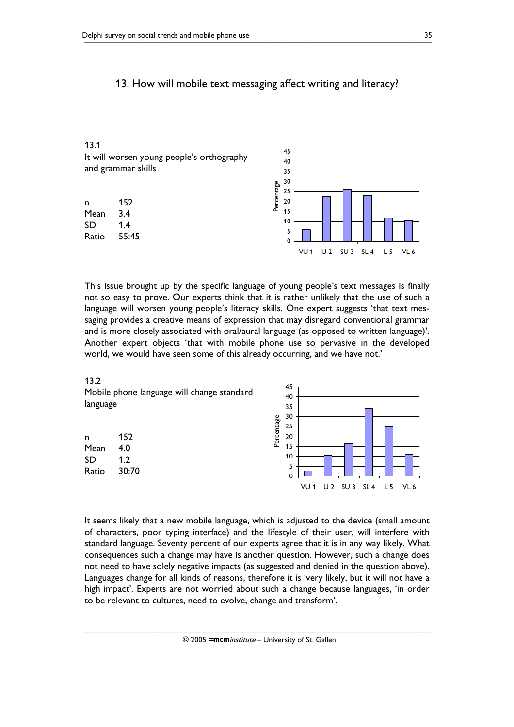# 13. How will mobile text messaging affect writing and literacy?

 $\overline{\phantom{a}}$  , and the state of the state of the state of the state of the state of the state of the state of the state of the state of the state of the state of the state of the state of the state of the state of the stat

13.1 It will worsen young people's orthography and grammar skills

n Mean SD Ratio 152 3.4 1.4



This issue brought up by the specific language of young people's text messages is finally not so easy to prove. Our experts think that it is rather unlikely that the use of such a language will worsen young people's literacy skills. One expert suggests 'that text messaging provides a creative means of expression that may disregard conventional grammar and is more closely associated with oral/aural language (as opposed to written language)'. Another expert objects 'that with mobile phone use so pervasive in the developed world, we would have seen some of this already occurring, and we have not.'



It seems likely that a new mobile language, which is adjusted to the device (small amount of characters, poor typing interface) and the lifestyle of their user, will interfere with standard language. Seventy percent of our experts agree that it is in any way likely. What consequences such a change may have is another question. However, such a change does not need to have solely negative impacts (as suggested and denied in the question above). Languages change for all kinds of reasons, therefore it is 'very likely, but it will not have a high impact'. Experts are not worried about such a change because languages, 'in order to be relevant to cultures, need to evolve, change and transform'.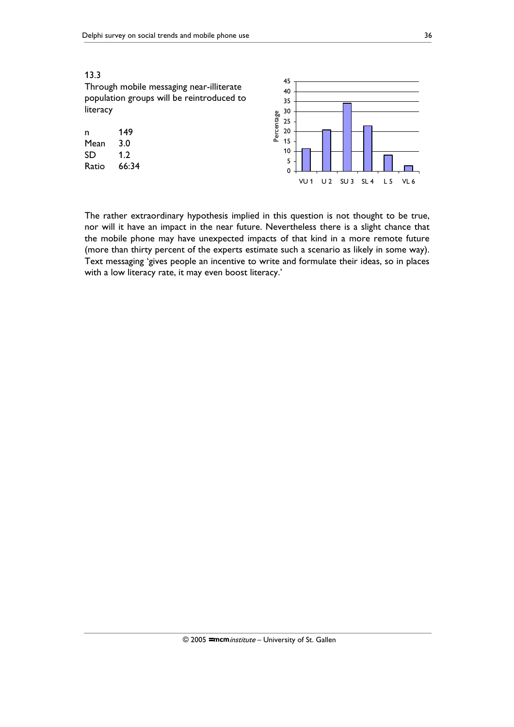

 $\overline{\phantom{a}}$  , and the state of the state of the state of the state of the state of the state of the state of the state of the state of the state of the state of the state of the state of the state of the state of the stat

The rather extraordinary hypothesis implied in this question is not thought to be true, nor will it have an impact in the near future. Nevertheless there is a slight chance that the mobile phone may have unexpected impacts of that kind in a more remote future (more than thirty percent of the experts estimate such a scenario as likely in some way). Text messaging 'gives people an incentive to write and formulate their ideas, so in places with a low literacy rate, it may even boost literacy.'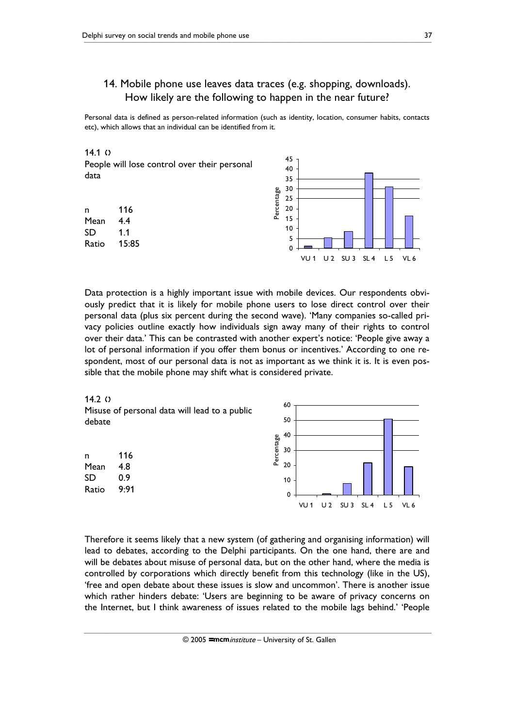# 14. Mobile phone use leaves data traces (e.g. shopping, downloads). How likely are the following to happen in the near future?

 $\overline{\phantom{a}}$  , and the state of the state of the state of the state of the state of the state of the state of the state of the state of the state of the state of the state of the state of the state of the state of the stat

Personal data is defined as person-related information (such as identity, location, consumer habits, contacts etc), which allows that an individual can be identified from it.



Data protection is a highly important issue with mobile devices. Our respondents obviously predict that it is likely for mobile phone users to lose direct control over their personal data (plus six percent during the second wave). 'Many companies so-called privacy policies outline exactly how individuals sign away many of their rights to control over their data.' This can be contrasted with another expert's notice: 'People give away a lot of personal information if you offer them bonus or incentives.' According to one respondent, most of our personal data is not as important as we think it is. It is even possible that the mobile phone may shift what is considered private.



Therefore it seems likely that a new system (of gathering and organising information) will lead to debates, according to the Delphi participants. On the one hand, there are and will be debates about misuse of personal data, but on the other hand, where the media is controlled by corporations which directly benefit from this technology (like in the US), 'free and open debate about these issues is slow and uncommon'. There is another issue which rather hinders debate: 'Users are beginning to be aware of privacy concerns on the Internet, but I think awareness of issues related to the mobile lags behind.' 'People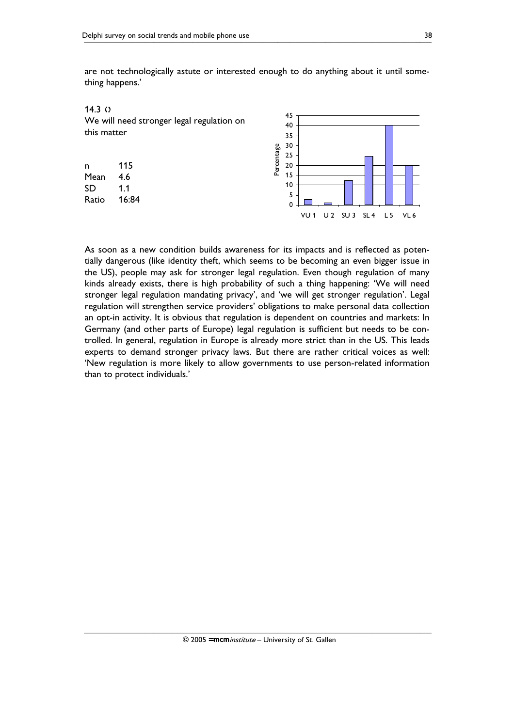are not technologically astute or interested enough to do anything about it until something happens.'

 $\overline{\phantom{a}}$  , and the state of the state of the state of the state of the state of the state of the state of the state of the state of the state of the state of the state of the state of the state of the state of the stat



As soon as a new condition builds awareness for its impacts and is reflected as potentially dangerous (like identity theft, which seems to be becoming an even bigger issue in the US), people may ask for stronger legal regulation. Even though regulation of many kinds already exists, there is high probability of such a thing happening: 'We will need stronger legal regulation mandating privacy', and 'we will get stronger regulation'. Legal regulation will strengthen service providers' obligations to make personal data collection an opt-in activity. It is obvious that regulation is dependent on countries and markets: In Germany (and other parts of Europe) legal regulation is sufficient but needs to be controlled. In general, regulation in Europe is already more strict than in the US. This leads experts to demand stronger privacy laws. But there are rather critical voices as well: 'New regulation is more likely to allow governments to use person-related information than to protect individuals.'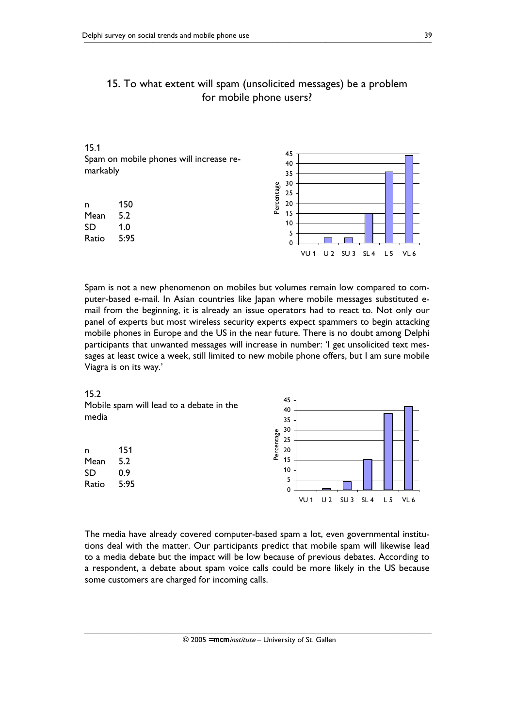# 15. To what extent will spam (unsolicited messages) be a problem for mobile phone users?

 $\overline{\phantom{a}}$  , and the state of the state of the state of the state of the state of the state of the state of the state of the state of the state of the state of the state of the state of the state of the state of the stat



Spam is not a new phenomenon on mobiles but volumes remain low compared to computer-based e-mail. In Asian countries like Japan where mobile messages substituted email from the beginning, it is already an issue operators had to react to. Not only our panel of experts but most wireless security experts expect spammers to begin attacking mobile phones in Europe and the US in the near future. There is no doubt among Delphi participants that unwanted messages will increase in number: 'I get unsolicited text messages at least twice a week, still limited to new mobile phone offers, but I am sure mobile Viagra is on its way.'

#### 15.2



The media have already covered computer-based spam a lot, even governmental institutions deal with the matter. Our participants predict that mobile spam will likewise lead to a media debate but the impact will be low because of previous debates. According to a respondent, a debate about spam voice calls could be more likely in the US because some customers are charged for incoming calls.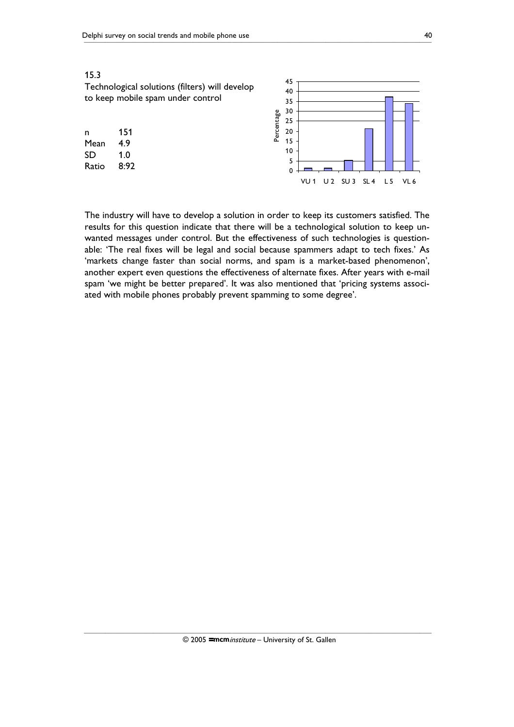

 $\overline{\phantom{a}}$  , and the state of the state of the state of the state of the state of the state of the state of the state of the state of the state of the state of the state of the state of the state of the state of the stat

The industry will have to develop a solution in order to keep its customers satisfied. The results for this question indicate that there will be a technological solution to keep unwanted messages under control. But the effectiveness of such technologies is questionable: 'The real fixes will be legal and social because spammers adapt to tech fixes.' As 'markets change faster than social norms, and spam is a market-based phenomenon', another expert even questions the effectiveness of alternate fixes. After years with e-mail spam 'we might be better prepared'. It was also mentioned that 'pricing systems associated with mobile phones probably prevent spamming to some degree'.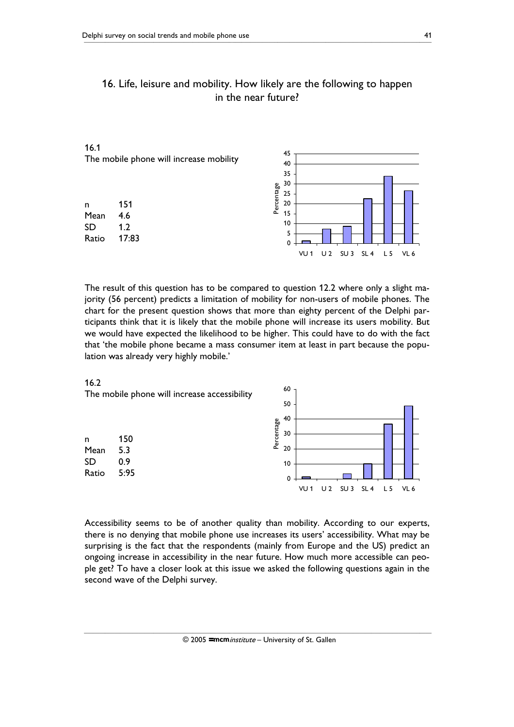# 16. Life, leisure and mobility. How likely are the following to happen in the near future?

 $\overline{\phantom{a}}$  , and the state of the state of the state of the state of the state of the state of the state of the state of the state of the state of the state of the state of the state of the state of the state of the stat



The result of this question has to be compared to question 12.2 where only a slight majority (56 percent) predicts a limitation of mobility for non-users of mobile phones. The chart for the present question shows that more than eighty percent of the Delphi participants think that it is likely that the mobile phone will increase its users mobility. But we would have expected the likelihood to be higher. This could have to do with the fact that 'the mobile phone became a mass consumer item at least in part because the population was already very highly mobile.'



Accessibility seems to be of another quality than mobility. According to our experts, there is no denying that mobile phone use increases its users' accessibility. What may be surprising is the fact that the respondents (mainly from Europe and the US) predict an ongoing increase in accessibility in the near future. How much more accessible can people get? To have a closer look at this issue we asked the following questions again in the second wave of the Delphi survey.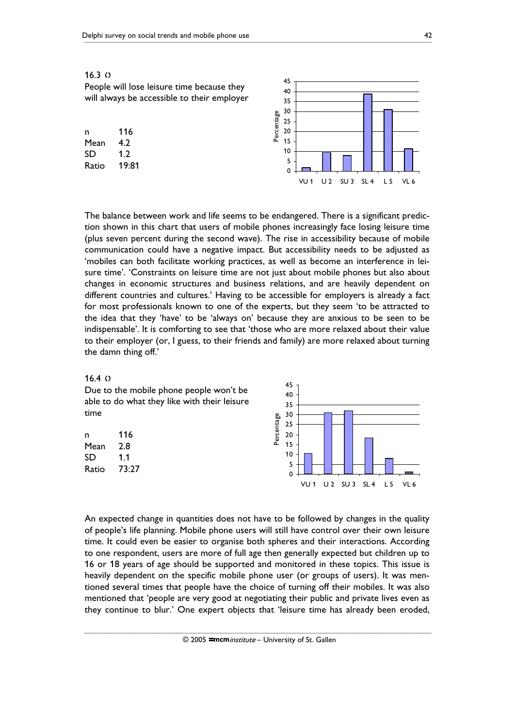

 $\overline{\phantom{a}}$  , and the state of the state of the state of the state of the state of the state of the state of the state of the state of the state of the state of the state of the state of the state of the state of the stat

The balance between work and life seems to be endangered. There is a significant prediction shown in this chart that users of mobile phones increasingly face losing leisure time (plus seven percent during the second wave). The rise in accessibility because of mobile communication could have a negative impact. But accessibility needs to be adjusted as 'mobiles can both facilitate working practices, as well as become an interference in leisure time'. 'Constraints on leisure time are not just about mobile phones but also about changes in economic structures and business relations, and are heavily dependent on different countries and cultures.' Having to be accessible for employers is already a fact for most professionals known to one of the experts, but they seem 'to be attracted to the idea that they 'have' to be 'always on' because they are anxious to be seen to be indispensable'. It is comforting to see that 'those who are more relaxed about their value to their employer (or, I guess, to their friends and family) are more relaxed about turning the damn thing off.'



An expected change in quantities does not have to be followed by changes in the quality of people's life planning. Mobile phone users will still have control over their own leisure time. It could even be easier to organise both spheres and their interactions. According to one respondent, users are more of full age then generally expected but children up to 16 or 18 years of age should be supported and monitored in these topics. This issue is heavily dependent on the specific mobile phone user (or groups of users). It was mentioned several times that people have the choice of turning off their mobiles. It was also mentioned that 'people are very good at negotiating their public and private lives even as they continue to blur.' One expert objects that 'leisure time has already been eroded,

VU1 U2 SU3 SL4 L5 VL6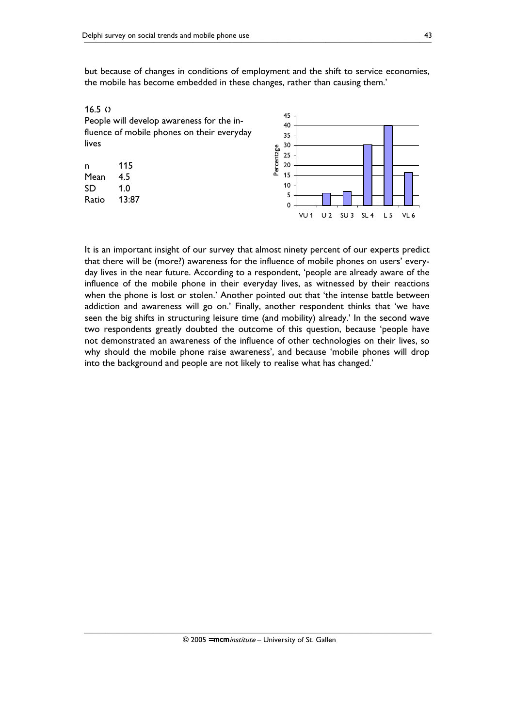but because of changes in conditions of employment and the shift to service economies, the mobile has become embedded in these changes, rather than causing them.'

 $\overline{\phantom{a}}$  , and the set of the set of the set of the set of the set of the set of the set of the set of the set of the set of the set of the set of the set of the set of the set of the set of the set of the set of the s



It is an important insight of our survey that almost ninety percent of our experts predict that there will be (more?) awareness for the influence of mobile phones on users' everyday lives in the near future. According to a respondent, 'people are already aware of the influence of the mobile phone in their everyday lives, as witnessed by their reactions when the phone is lost or stolen.' Another pointed out that 'the intense battle between addiction and awareness will go on.' Finally, another respondent thinks that 'we have seen the big shifts in structuring leisure time (and mobility) already.' In the second wave two respondents greatly doubted the outcome of this question, because 'people have not demonstrated an awareness of the influence of other technologies on their lives, so why should the mobile phone raise awareness', and because 'mobile phones will drop into the background and people are not likely to realise what has changed.'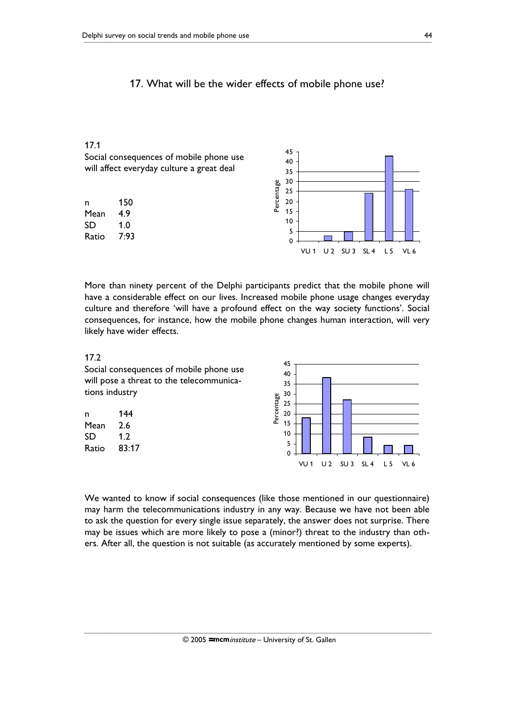

# 17. What will be the wider effects of mobile phone use?

 $\overline{\phantom{a}}$  , and the set of the set of the set of the set of the set of the set of the set of the set of the set of the set of the set of the set of the set of the set of the set of the set of the set of the set of the s

More than ninety percent of the Delphi participants predict that the mobile phone will have a considerable effect on our lives. Increased mobile phone usage changes everyday culture and therefore 'will have a profound effect on the way society functions'. Social consequences, for instance, how the mobile phone changes human interaction, will very likely have wider effects.

#### 17.2

Social consequences of mobile phone use will pose a threat to the telecommunications industry

n Mean SD Ratio 144 2.6 1.2



We wanted to know if social consequences (like those mentioned in our questionnaire) may harm the telecommunications industry in any way. Because we have not been able to ask the question for every single issue separately, the answer does not surprise. There may be issues which are more likely to pose a (minor?) threat to the industry than others. After all, the question is not suitable (as accurately mentioned by some experts).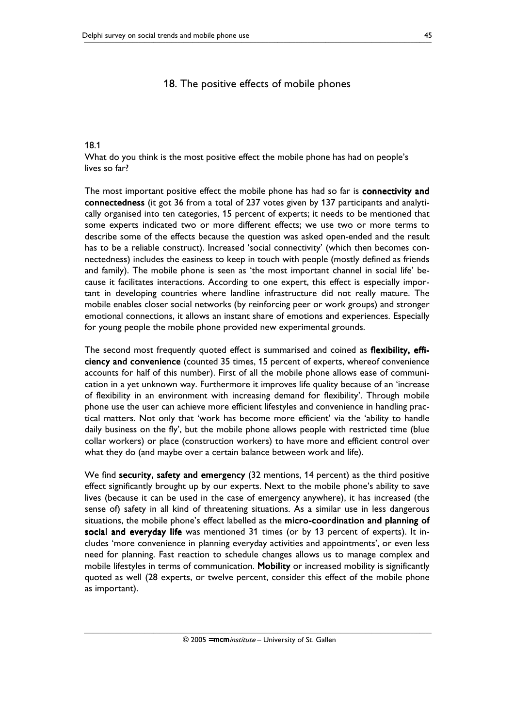### 18. The positive effects of mobile phones

 $\overline{\phantom{a}}$  , and the set of the set of the set of the set of the set of the set of the set of the set of the set of the set of the set of the set of the set of the set of the set of the set of the set of the set of the s

# 18.1

What do you think is the most positive effect the mobile phone has had on people's lives so far?

The most important positive effect the mobile phone has had so far is connectivity and connectedness (it got 36 from a total of 237 votes given by 137 participants and analytically organised into ten categories, 15 percent of experts; it needs to be mentioned that some experts indicated two or more different effects; we use two or more terms to describe some of the effects because the question was asked open-ended and the result has to be a reliable construct). Increased 'social connectivity' (which then becomes connectedness) includes the easiness to keep in touch with people (mostly defined as friends and family). The mobile phone is seen as 'the most important channel in social life' because it facilitates interactions. According to one expert, this effect is especially important in developing countries where landline infrastructure did not really mature. The mobile enables closer social networks (by reinforcing peer or work groups) and stronger emotional connections, it allows an instant share of emotions and experiences. Especially for young people the mobile phone provided new experimental grounds.

The second most frequently quoted effect is summarised and coined as **flexibility, effi**ciency and convenience (counted 35 times, 15 percent of experts, whereof convenience accounts for half of this number). First of all the mobile phone allows ease of communication in a yet unknown way. Furthermore it improves life quality because of an 'increase of flexibility in an environment with increasing demand for flexibility'. Through mobile phone use the user can achieve more efficient lifestyles and convenience in handling practical matters. Not only that 'work has become more efficient' via the 'ability to handle daily business on the fly', but the mobile phone allows people with restricted time (blue collar workers) or place (construction workers) to have more and efficient control over what they do (and maybe over a certain balance between work and life).

We find security, safety and emergency (32 mentions, 14 percent) as the third positive effect significantly brought up by our experts. Next to the mobile phone's ability to save lives (because it can be used in the case of emergency anywhere), it has increased (the sense of) safety in all kind of threatening situations. As a similar use in less dangerous situations, the mobile phone's effect labelled as the micro-coordination and planning of social and everyday life was mentioned 31 times (or by 13 percent of experts). It includes 'more convenience in planning everyday activities and appointments', or even less need for planning. Fast reaction to schedule changes allows us to manage complex and mobile lifestyles in terms of communication. Mobility or increased mobility is significantly quoted as well (28 experts, or twelve percent, consider this effect of the mobile phone as important).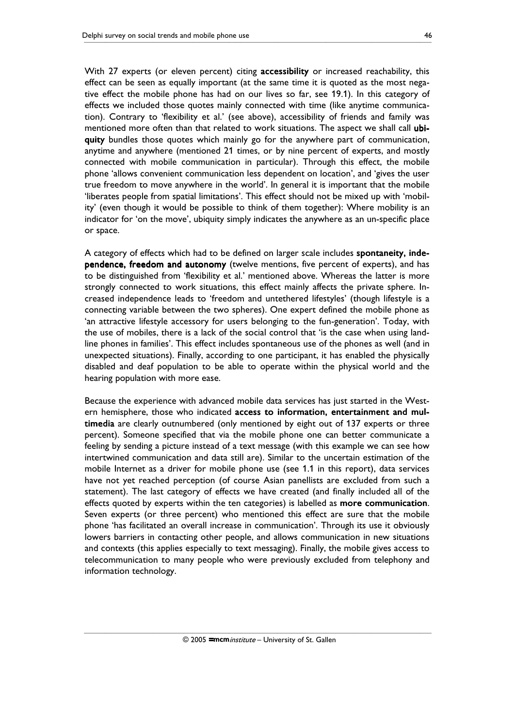With 27 experts (or eleven percent) citing accessibility or increased reachability, this effect can be seen as equally important (at the same time it is quoted as the most negative effect the mobile phone has had on our lives so far, see 19.1). In this category of effects we included those quotes mainly connected with time (like anytime communication). Contrary to 'flexibility et al.' (see above), accessibility of friends and family was mentioned more often than that related to work situations. The aspect we shall call ubiquity bundles those quotes which mainly go for the anywhere part of communication, anytime and anywhere (mentioned 21 times, or by nine percent of experts, and mostly connected with mobile communication in particular). Through this effect, the mobile phone 'allows convenient communication less dependent on location', and 'gives the user true freedom to move anywhere in the world'. In general it is important that the mobile 'liberates people from spatial limitations'. This effect should not be mixed up with 'mobility' (even though it would be possible to think of them together): Where mobility is an indicator for 'on the move', ubiquity simply indicates the anywhere as an un-specific place or space.

 $\overline{\phantom{a}}$  , and the set of the set of the set of the set of the set of the set of the set of the set of the set of the set of the set of the set of the set of the set of the set of the set of the set of the set of the s

A category of effects which had to be defined on larger scale includes spontaneity, independence, freedom and autonomy (twelve mentions, five percent of experts), and has to be distinguished from 'flexibility et al.' mentioned above. Whereas the latter is more strongly connected to work situations, this effect mainly affects the private sphere. Increased independence leads to 'freedom and untethered lifestyles' (though lifestyle is a connecting variable between the two spheres). One expert defined the mobile phone as 'an attractive lifestyle accessory for users belonging to the fun-generation'. Today, with the use of mobiles, there is a lack of the social control that 'is the case when using landline phones in families'. This effect includes spontaneous use of the phones as well (and in unexpected situations). Finally, according to one participant, it has enabled the physically disabled and deaf population to be able to operate within the physical world and the hearing population with more ease.

Because the experience with advanced mobile data services has just started in the Western hemisphere, those who indicated access to information, entertainment and multimedia are clearly outnumbered (only mentioned by eight out of 137 experts or three percent). Someone specified that via the mobile phone one can better communicate a feeling by sending a picture instead of a text message (with this example we can see how intertwined communication and data still are). Similar to the uncertain estimation of the mobile Internet as a driver for mobile phone use (see 1.1 in this report), data services have not yet reached perception (of course Asian panellists are excluded from such a statement). The last category of effects we have created (and finally included all of the effects quoted by experts within the ten categories) is labelled as more communication. Seven experts (or three percent) who mentioned this effect are sure that the mobile phone 'has facilitated an overall increase in communication'. Through its use it obviously lowers barriers in contacting other people, and allows communication in new situations and contexts (this applies especially to text messaging). Finally, the mobile gives access to telecommunication to many people who were previously excluded from telephony and information technology.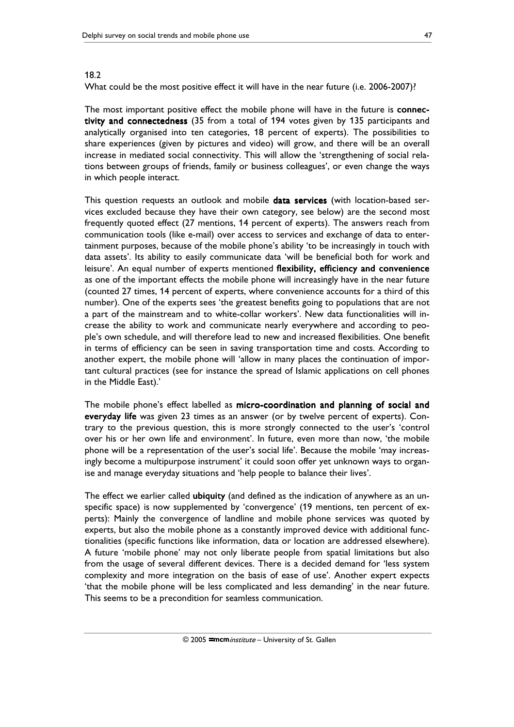#### 18.2

What could be the most positive effect it will have in the near future (i.e. 2006-2007)?

 $\overline{\phantom{a}}$  , and the set of the set of the set of the set of the set of the set of the set of the set of the set of the set of the set of the set of the set of the set of the set of the set of the set of the set of the s

The most important positive effect the mobile phone will have in the future is connectivity and connectedness (35 from a total of 194 votes given by 135 participants and analytically organised into ten categories, 18 percent of experts). The possibilities to share experiences (given by pictures and video) will grow, and there will be an overall increase in mediated social connectivity. This will allow the 'strengthening of social relations between groups of friends, family or business colleagues', or even change the ways in which people interact.

This question requests an outlook and mobile data services (with location-based services excluded because they have their own category, see below) are the second most frequently quoted effect (27 mentions, 14 percent of experts). The answers reach from communication tools (like e-mail) over access to services and exchange of data to entertainment purposes, because of the mobile phone's ability 'to be increasingly in touch with data assets'. Its ability to easily communicate data 'will be beneficial both for work and leisure'. An equal number of experts mentioned flexibility, efficiency and convenience as one of the important effects the mobile phone will increasingly have in the near future (counted 27 times, 14 percent of experts, where convenience accounts for a third of this number). One of the experts sees 'the greatest benefits going to populations that are not a part of the mainstream and to white-collar workers'. New data functionalities will increase the ability to work and communicate nearly everywhere and according to people's own schedule, and will therefore lead to new and increased flexibilities. One benefit in terms of efficiency can be seen in saving transportation time and costs. According to another expert, the mobile phone will 'allow in many places the continuation of important cultural practices (see for instance the spread of Islamic applications on cell phones in the Middle East).'

The mobile phone's effect labelled as micro-coordination and planning of social and everyday life was given 23 times as an answer (or by twelve percent of experts). Contrary to the previous question, this is more strongly connected to the user's 'control over his or her own life and environment'. In future, even more than now, 'the mobile phone will be a representation of the user's social life'. Because the mobile 'may increasingly become a multipurpose instrument' it could soon offer yet unknown ways to organise and manage everyday situations and 'help people to balance their lives'.

The effect we earlier called **ubiquity** (and defined as the indication of anywhere as an unspecific space) is now supplemented by 'convergence' (19 mentions, ten percent of experts): Mainly the convergence of landline and mobile phone services was quoted by experts, but also the mobile phone as a constantly improved device with additional functionalities (specific functions like information, data or location are addressed elsewhere). A future 'mobile phone' may not only liberate people from spatial limitations but also from the usage of several different devices. There is a decided demand for 'less system complexity and more integration on the basis of ease of use'. Another expert expects 'that the mobile phone will be less complicated and less demanding' in the near future. This seems to be a precondition for seamless communication.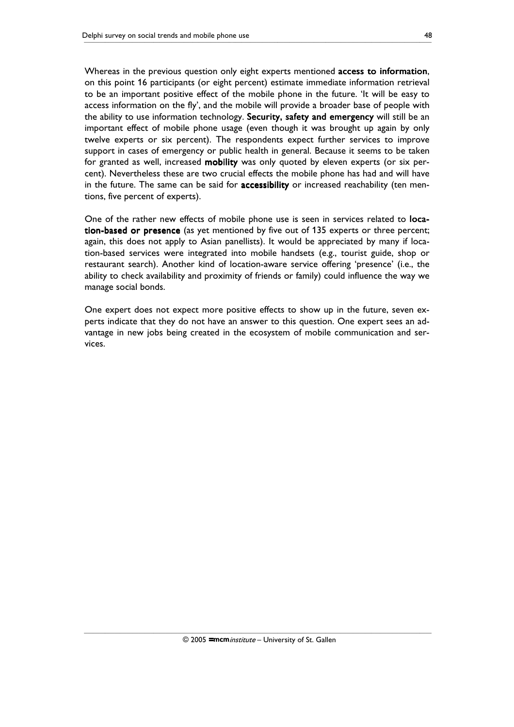Whereas in the previous question only eight experts mentioned access to information, on this point 16 participants (or eight percent) estimate immediate information retrieval to be an important positive effect of the mobile phone in the future. 'It will be easy to access information on the fly', and the mobile will provide a broader base of people with the ability to use information technology. Security, safety and emergency will still be an important effect of mobile phone usage (even though it was brought up again by only twelve experts or six percent). The respondents expect further services to improve support in cases of emergency or public health in general. Because it seems to be taken for granted as well, increased mobility was only quoted by eleven experts (or six percent). Nevertheless these are two crucial effects the mobile phone has had and will have in the future. The same can be said for accessibility or increased reachability (ten mentions, five percent of experts).

 $\overline{\phantom{a}}$  , and the set of the set of the set of the set of the set of the set of the set of the set of the set of the set of the set of the set of the set of the set of the set of the set of the set of the set of the s

One of the rather new effects of mobile phone use is seen in services related to location-based or presence (as yet mentioned by five out of 135 experts or three percent; again, this does not apply to Asian panellists). It would be appreciated by many if location-based services were integrated into mobile handsets (e.g., tourist guide, shop or restaurant search). Another kind of location-aware service offering 'presence' (i.e., the ability to check availability and proximity of friends or family) could influence the way we manage social bonds.

One expert does not expect more positive effects to show up in the future, seven experts indicate that they do not have an answer to this question. One expert sees an advantage in new jobs being created in the ecosystem of mobile communication and services.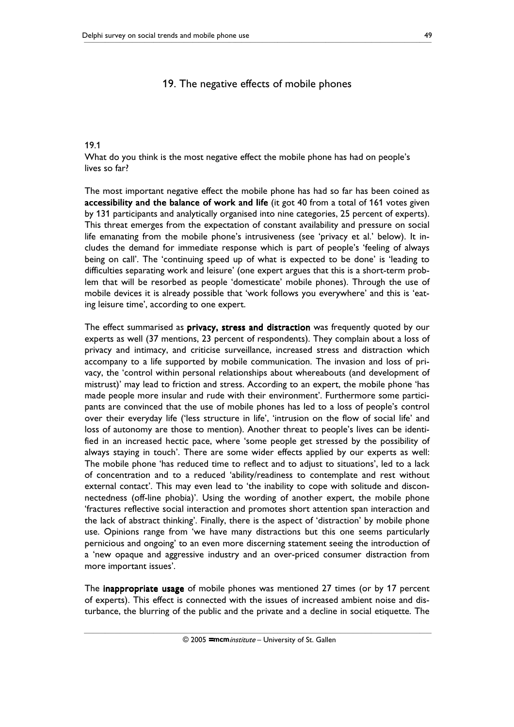# 19. The negative effects of mobile phones

 $\overline{\phantom{a}}$  , and the set of the set of the set of the set of the set of the set of the set of the set of the set of the set of the set of the set of the set of the set of the set of the set of the set of the set of the s

# 19.1

What do you think is the most negative effect the mobile phone has had on people's lives so far?

The most important negative effect the mobile phone has had so far has been coined as accessibility and the balance of work and life (it got 40 from a total of 161 votes given by 131 participants and analytically organised into nine categories, 25 percent of experts). This threat emerges from the expectation of constant availability and pressure on social life emanating from the mobile phone's intrusiveness (see 'privacy et al.' below). It includes the demand for immediate response which is part of people's 'feeling of always being on call'. The 'continuing speed up of what is expected to be done' is 'leading to difficulties separating work and leisure' (one expert argues that this is a short-term problem that will be resorbed as people 'domesticate' mobile phones). Through the use of mobile devices it is already possible that 'work follows you everywhere' and this is 'eating leisure time', according to one expert.

The effect summarised as privacy, stress and distraction was frequently quoted by our experts as well (37 mentions, 23 percent of respondents). They complain about a loss of privacy and intimacy, and criticise surveillance, increased stress and distraction which accompany to a life supported by mobile communication. The invasion and loss of privacy, the 'control within personal relationships about whereabouts (and development of mistrust)' may lead to friction and stress. According to an expert, the mobile phone 'has made people more insular and rude with their environment'. Furthermore some participants are convinced that the use of mobile phones has led to a loss of people's control over their everyday life ('less structure in life', 'intrusion on the flow of social life' and loss of autonomy are those to mention). Another threat to people's lives can be identified in an increased hectic pace, where 'some people get stressed by the possibility of always staying in touch'. There are some wider effects applied by our experts as well: The mobile phone 'has reduced time to reflect and to adjust to situations', led to a lack of concentration and to a reduced 'ability/readiness to contemplate and rest without external contact'. This may even lead to 'the inability to cope with solitude and disconnectedness (off-line phobia)'. Using the wording of another expert, the mobile phone 'fractures reflective social interaction and promotes short attention span interaction and the lack of abstract thinking'. Finally, there is the aspect of 'distraction' by mobile phone use. Opinions range from 'we have many distractions but this one seems particularly pernicious and ongoing' to an even more discerning statement seeing the introduction of a 'new opaque and aggressive industry and an over-priced consumer distraction from more important issues'.

The **inappropriate usage** of mobile phones was mentioned 27 times (or by 17 percent of experts). This effect is connected with the issues of increased ambient noise and disturbance, the blurring of the public and the private and a decline in social etiquette. The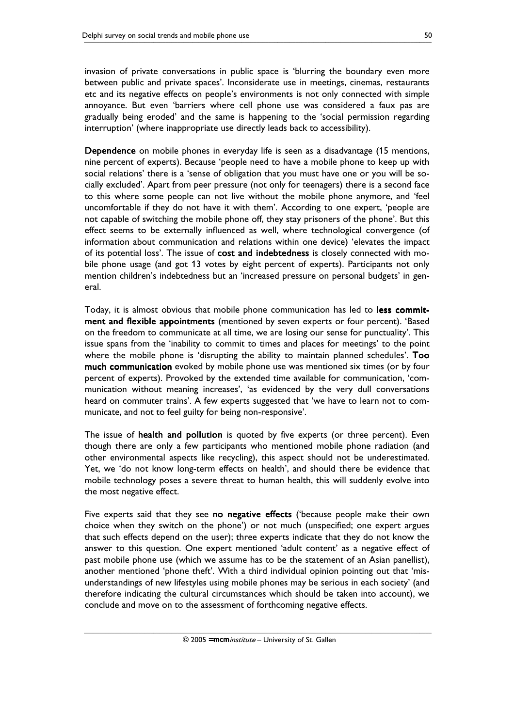invasion of private conversations in public space is 'blurring the boundary even more between public and private spaces'. Inconsiderate use in meetings, cinemas, restaurants etc and its negative effects on people's environments is not only connected with simple annoyance. But even 'barriers where cell phone use was considered a faux pas are gradually being eroded' and the same is happening to the 'social permission regarding interruption' (where inappropriate use directly leads back to accessibility).

 $\overline{\phantom{a}}$  , and the set of the set of the set of the set of the set of the set of the set of the set of the set of the set of the set of the set of the set of the set of the set of the set of the set of the set of the s

Dependence on mobile phones in everyday life is seen as a disadvantage (15 mentions, nine percent of experts). Because 'people need to have a mobile phone to keep up with social relations' there is a 'sense of obligation that you must have one or you will be socially excluded'. Apart from peer pressure (not only for teenagers) there is a second face to this where some people can not live without the mobile phone anymore, and 'feel uncomfortable if they do not have it with them'. According to one expert, 'people are not capable of switching the mobile phone off, they stay prisoners of the phone'. But this effect seems to be externally influenced as well, where technological convergence (of information about communication and relations within one device) 'elevates the impact of its potential loss'. The issue of cost and indebtedness is closely connected with mobile phone usage (and got 13 votes by eight percent of experts). Participants not only mention children's indebtedness but an 'increased pressure on personal budgets' in general.

Today, it is almost obvious that mobile phone communication has led to less commitment and flexible appointments (mentioned by seven experts or four percent). 'Based on the freedom to communicate at all time, we are losing our sense for punctuality'. This issue spans from the 'inability to commit to times and places for meetings' to the point where the mobile phone is 'disrupting the ability to maintain planned schedules'. Too much communication evoked by mobile phone use was mentioned six times (or by four percent of experts). Provoked by the extended time available for communication, 'communication without meaning increases', 'as evidenced by the very dull conversations heard on commuter trains'. A few experts suggested that 'we have to learn not to communicate, and not to feel guilty for being non-responsive'.

The issue of health and pollution is quoted by five experts (or three percent). Even though there are only a few participants who mentioned mobile phone radiation (and other environmental aspects like recycling), this aspect should not be underestimated. Yet, we 'do not know long-term effects on health', and should there be evidence that mobile technology poses a severe threat to human health, this will suddenly evolve into the most negative effect.

Five experts said that they see no negative effects ('because people make their own choice when they switch on the phone') or not much (unspecified; one expert argues that such effects depend on the user); three experts indicate that they do not know the answer to this question. One expert mentioned 'adult content' as a negative effect of past mobile phone use (which we assume has to be the statement of an Asian panellist), another mentioned 'phone theft'. With a third individual opinion pointing out that 'misunderstandings of new lifestyles using mobile phones may be serious in each society' (and therefore indicating the cultural circumstances which should be taken into account), we conclude and move on to the assessment of forthcoming negative effects.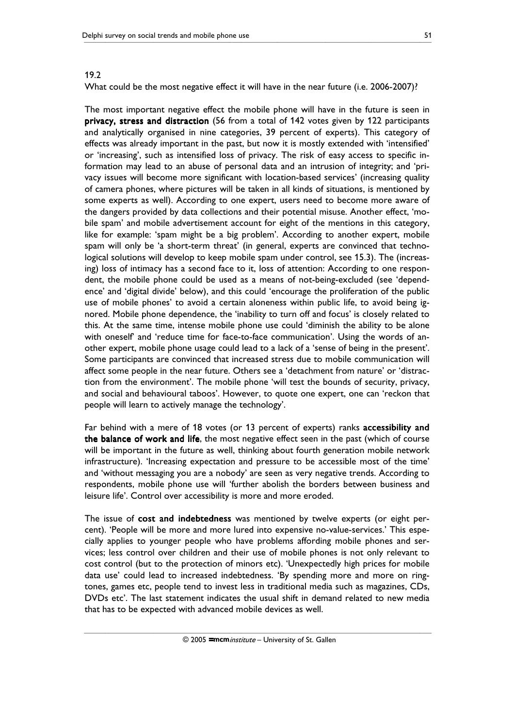#### 19.2

What could be the most negative effect it will have in the near future (i.e. 2006-2007)?

 $\overline{\phantom{a}}$  , and the state of the state of the state of the state of the state of the state of the state of the state of the state of the state of the state of the state of the state of the state of the state of the stat

The most important negative effect the mobile phone will have in the future is seen in privacy, stress and distraction (56 from a total of 142 votes given by 122 participants and analytically organised in nine categories, 39 percent of experts). This category of effects was already important in the past, but now it is mostly extended with 'intensified' or 'increasing', such as intensified loss of privacy. The risk of easy access to specific information may lead to an abuse of personal data and an intrusion of integrity; and 'privacy issues will become more significant with location-based services' (increasing quality of camera phones, where pictures will be taken in all kinds of situations, is mentioned by some experts as well). According to one expert, users need to become more aware of the dangers provided by data collections and their potential misuse. Another effect, 'mobile spam' and mobile advertisement account for eight of the mentions in this category, like for example: 'spam might be a big problem'. According to another expert, mobile spam will only be 'a short-term threat' (in general, experts are convinced that technological solutions will develop to keep mobile spam under control, see 15.3). The (increasing) loss of intimacy has a second face to it, loss of attention: According to one respondent, the mobile phone could be used as a means of not-being-excluded (see 'dependence' and 'digital divide' below), and this could 'encourage the proliferation of the public use of mobile phones' to avoid a certain aloneness within public life, to avoid being ignored. Mobile phone dependence, the 'inability to turn off and focus' is closely related to this. At the same time, intense mobile phone use could 'diminish the ability to be alone with oneself' and 'reduce time for face-to-face communication'. Using the words of another expert, mobile phone usage could lead to a lack of a 'sense of being in the present'. Some participants are convinced that increased stress due to mobile communication will affect some people in the near future. Others see a 'detachment from nature' or 'distraction from the environment'. The mobile phone 'will test the bounds of security, privacy, and social and behavioural taboos'. However, to quote one expert, one can 'reckon that people will learn to actively manage the technology'.

Far behind with a mere of 18 votes (or 13 percent of experts) ranks **accessibility and** the balance of work and life, the most negative effect seen in the past (which of course will be important in the future as well, thinking about fourth generation mobile network infrastructure). 'Increasing expectation and pressure to be accessible most of the time' and 'without messaging you are a nobody' are seen as very negative trends. According to respondents, mobile phone use will 'further abolish the borders between business and leisure life'. Control over accessibility is more and more eroded.

The issue of cost and indebtedness was mentioned by twelve experts (or eight percent). 'People will be more and more lured into expensive no-value-services.' This especially applies to younger people who have problems affording mobile phones and services; less control over children and their use of mobile phones is not only relevant to cost control (but to the protection of minors etc). 'Unexpectedly high prices for mobile data use' could lead to increased indebtedness. 'By spending more and more on ringtones, games etc, people tend to invest less in traditional media such as magazines, CDs, DVDs etc'. The last statement indicates the usual shift in demand related to new media that has to be expected with advanced mobile devices as well.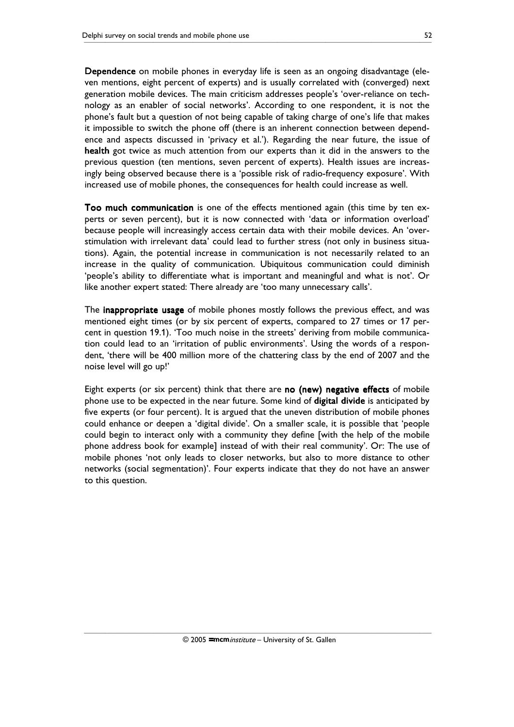Dependence on mobile phones in everyday life is seen as an ongoing disadvantage (eleven mentions, eight percent of experts) and is usually correlated with (converged) next generation mobile devices. The main criticism addresses people's 'over-reliance on technology as an enabler of social networks'. According to one respondent, it is not the phone's fault but a question of not being capable of taking charge of one's life that makes it impossible to switch the phone off (there is an inherent connection between dependence and aspects discussed in 'privacy et al.'). Regarding the near future, the issue of health got twice as much attention from our experts than it did in the answers to the previous question (ten mentions, seven percent of experts). Health issues are increasingly being observed because there is a 'possible risk of radio-frequency exposure'. With increased use of mobile phones, the consequences for health could increase as well.

 $\overline{\phantom{a}}$  , and the state of the state of the state of the state of the state of the state of the state of the state of the state of the state of the state of the state of the state of the state of the state of the stat

Too much communication is one of the effects mentioned again (this time by ten experts or seven percent), but it is now connected with 'data or information overload' because people will increasingly access certain data with their mobile devices. An 'overstimulation with irrelevant data' could lead to further stress (not only in business situations). Again, the potential increase in communication is not necessarily related to an increase in the quality of communication. Ubiquitous communication could diminish 'people's ability to differentiate what is important and meaningful and what is not'. Or like another expert stated: There already are 'too many unnecessary calls'.

The **inappropriate usage** of mobile phones mostly follows the previous effect, and was mentioned eight times (or by six percent of experts, compared to 27 times or 17 percent in question 19.1). 'Too much noise in the streets' deriving from mobile communication could lead to an 'irritation of public environments'. Using the words of a respondent, 'there will be 400 million more of the chattering class by the end of 2007 and the noise level will go up!'

Eight experts (or six percent) think that there are **no (new) negative effects** of mobile phone use to be expected in the near future. Some kind of digital divide is anticipated by five experts (or four percent). It is argued that the uneven distribution of mobile phones could enhance or deepen a 'digital divide'. On a smaller scale, it is possible that 'people could begin to interact only with a community they define [with the help of the mobile phone address book for example] instead of with their real community'. Or: The use of mobile phones 'not only leads to closer networks, but also to more distance to other networks (social segmentation)'. Four experts indicate that they do not have an answer to this question.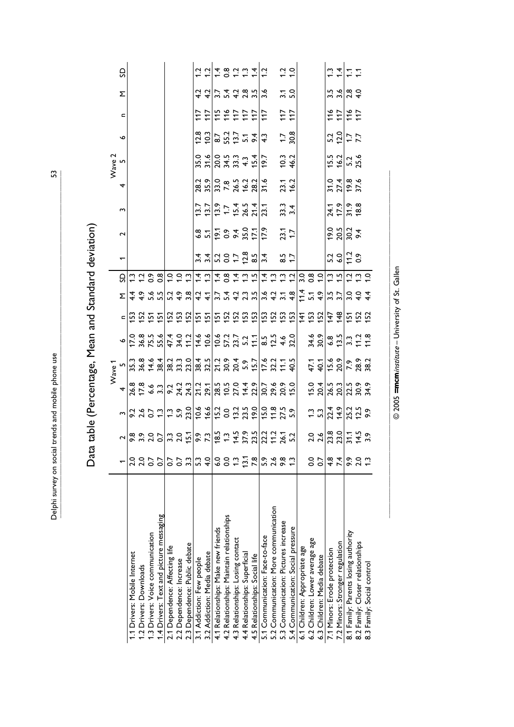| Delphi survey on social                   |                                               |                                                                                                                                                                                                                                                                                      |                                                                                                 | trends and mobile phone use                                                  |                                                                                                                                                                                                                                                                                                                                               |                                                                                                                                                                                                                                                                                                                  |                   |                                                                                                                                                           |                                                                                                                                                                                                                                                                                                                                                                                                                                                                                                         |                                                                 |                                                                                                                                                                                                                   | 53                                                          |                                                                                                                                                                                                                                                                                                                       |                                                                                                                                                                         |                                                                                                                                                                                                                                 |   |                             |
|-------------------------------------------|-----------------------------------------------|--------------------------------------------------------------------------------------------------------------------------------------------------------------------------------------------------------------------------------------------------------------------------------------|-------------------------------------------------------------------------------------------------|------------------------------------------------------------------------------|-----------------------------------------------------------------------------------------------------------------------------------------------------------------------------------------------------------------------------------------------------------------------------------------------------------------------------------------------|------------------------------------------------------------------------------------------------------------------------------------------------------------------------------------------------------------------------------------------------------------------------------------------------------------------|-------------------|-----------------------------------------------------------------------------------------------------------------------------------------------------------|---------------------------------------------------------------------------------------------------------------------------------------------------------------------------------------------------------------------------------------------------------------------------------------------------------------------------------------------------------------------------------------------------------------------------------------------------------------------------------------------------------|-----------------------------------------------------------------|-------------------------------------------------------------------------------------------------------------------------------------------------------------------------------------------------------------------|-------------------------------------------------------------|-----------------------------------------------------------------------------------------------------------------------------------------------------------------------------------------------------------------------------------------------------------------------------------------------------------------------|-------------------------------------------------------------------------------------------------------------------------------------------------------------------------|---------------------------------------------------------------------------------------------------------------------------------------------------------------------------------------------------------------------------------|---|-----------------------------|
|                                           | ata                                           |                                                                                                                                                                                                                                                                                      |                                                                                                 |                                                                              |                                                                                                                                                                                                                                                                                                                                               | table (Percentage, Mean and Standard deviation)                                                                                                                                                                                                                                                                  |                   |                                                                                                                                                           |                                                                                                                                                                                                                                                                                                                                                                                                                                                                                                         |                                                                 |                                                                                                                                                                                                                   |                                                             |                                                                                                                                                                                                                                                                                                                       |                                                                                                                                                                         |                                                                                                                                                                                                                                 |   |                             |
|                                           |                                               |                                                                                                                                                                                                                                                                                      |                                                                                                 |                                                                              | Wave 1                                                                                                                                                                                                                                                                                                                                        |                                                                                                                                                                                                                                                                                                                  |                   |                                                                                                                                                           |                                                                                                                                                                                                                                                                                                                                                                                                                                                                                                         |                                                                 |                                                                                                                                                                                                                   | Wave 2                                                      |                                                                                                                                                                                                                                                                                                                       |                                                                                                                                                                         |                                                                                                                                                                                                                                 |   |                             |
|                                           |                                               |                                                                                                                                                                                                                                                                                      | $\sim$                                                                                          |                                                                              | L                                                                                                                                                                                                                                                                                                                                             | ∾                                                                                                                                                                                                                                                                                                                |                   | Σ                                                                                                                                                         | ٣<br>9                                                                                                                                                                                                                                                                                                                                                                                                                                                                                                  | 2                                                               | S                                                                                                                                                                                                                 | 4                                                           | LO <sub>1</sub>                                                                                                                                                                                                                                                                                                       | ç                                                                                                                                                                       | Σ<br>$\mathbf{r}$                                                                                                                                                                                                               | G |                             |
| .1 Drivers: Mobile Internet               |                                               |                                                                                                                                                                                                                                                                                      |                                                                                                 |                                                                              |                                                                                                                                                                                                                                                                                                                                               |                                                                                                                                                                                                                                                                                                                  |                   |                                                                                                                                                           |                                                                                                                                                                                                                                                                                                                                                                                                                                                                                                         |                                                                 |                                                                                                                                                                                                                   |                                                             |                                                                                                                                                                                                                                                                                                                       |                                                                                                                                                                         |                                                                                                                                                                                                                                 |   |                             |
| .2 Drivers: Downloads                     | 0<br>2.0                                      |                                                                                                                                                                                                                                                                                      |                                                                                                 |                                                                              |                                                                                                                                                                                                                                                                                                                                               |                                                                                                                                                                                                                                                                                                                  |                   |                                                                                                                                                           |                                                                                                                                                                                                                                                                                                                                                                                                                                                                                                         |                                                                 |                                                                                                                                                                                                                   |                                                             |                                                                                                                                                                                                                                                                                                                       |                                                                                                                                                                         |                                                                                                                                                                                                                                 |   |                             |
| 1.3 Drivers: Voice communication          | $\tilde{\circ}$                               |                                                                                                                                                                                                                                                                                      |                                                                                                 |                                                                              |                                                                                                                                                                                                                                                                                                                                               |                                                                                                                                                                                                                                                                                                                  |                   | $49.95$<br>$49.95$                                                                                                                                        | 7.288                                                                                                                                                                                                                                                                                                                                                                                                                                                                                                   |                                                                 |                                                                                                                                                                                                                   |                                                             |                                                                                                                                                                                                                                                                                                                       |                                                                                                                                                                         |                                                                                                                                                                                                                                 |   |                             |
| 4 Drivers: Text and picture messaging     | 2                                             |                                                                                                                                                                                                                                                                                      |                                                                                                 |                                                                              |                                                                                                                                                                                                                                                                                                                                               |                                                                                                                                                                                                                                                                                                                  |                   |                                                                                                                                                           |                                                                                                                                                                                                                                                                                                                                                                                                                                                                                                         |                                                                 |                                                                                                                                                                                                                   |                                                             |                                                                                                                                                                                                                                                                                                                       |                                                                                                                                                                         |                                                                                                                                                                                                                                 |   |                             |
| 2.1 Dependence: Affecting life            | 2                                             | $\sim$ $\frac{1}{8}$ $\frac{3}{8}$ $\frac{3}{8}$ $\frac{1}{8}$ $\frac{1}{8}$ $\frac{1}{8}$ $\frac{1}{8}$ $\frac{1}{8}$ $\frac{1}{2}$ $\frac{1}{8}$ $\frac{1}{2}$ $\frac{1}{8}$ $\frac{1}{8}$ $\frac{1}{12}$ $\frac{1}{8}$ $\frac{1}{12}$ $\frac{1}{12}$ $\frac{1}{8}$ $\frac{1}{12}$ |                                                                                                 |                                                                              | $\begin{array}{l} \hbox{5.3\hskip -2pt 8.4cm} \hbox{8.3\hskip -2pt 8.4cm} \hbox{9.4\hskip -2pt 8.5cm} \hbox{1.4\hskip -2pt 8.6cm} \hbox{1.4\hskip -2pt 8.6cm} \hbox{1.4\hskip -2pt 8.6cm} \hbox{1.4\hskip -2pt 8.6cm} \hbox{1.4\hskip -2pt 8.6cm} \hbox{1.4\hskip -2pt 8.6cm} \hbox{1.4\hskip -2pt 8.6cm} \hbox{1.4\hskip -2pt 8.6cm} \hbox{$ | $\begin{array}{l} \hbox{C. 8 }{\rm ~G. 1} \hbox{C. 1} \hbox{C. 1} \hbox{C. 1} \hbox{C. 1} \hbox{C. 1} \hbox{C. 1} \hbox{C. 1} \hbox{C. 1} \hbox{C. 1} \hbox{C. 1} \hbox{C. 1} \hbox{C. 1} \hbox{C. 1} \hbox{C. 1} \hbox{C. 1} \hbox{C. 1} \hbox{C. 1} \hbox{C. 1} \hbox{C. 1} \hbox{C. 1} \hbox{C. 1} \hbox{C. $ | - 이 친 친 친 다 없는 다  |                                                                                                                                                           |                                                                                                                                                                                                                                                                                                                                                                                                                                                                                                         |                                                                 |                                                                                                                                                                                                                   |                                                             |                                                                                                                                                                                                                                                                                                                       |                                                                                                                                                                         |                                                                                                                                                                                                                                 |   |                             |
| 2.2 Dependence: Increase                  | $\overline{c}$                                |                                                                                                                                                                                                                                                                                      |                                                                                                 |                                                                              |                                                                                                                                                                                                                                                                                                                                               |                                                                                                                                                                                                                                                                                                                  |                   |                                                                                                                                                           | 5.50                                                                                                                                                                                                                                                                                                                                                                                                                                                                                                    |                                                                 |                                                                                                                                                                                                                   |                                                             |                                                                                                                                                                                                                                                                                                                       |                                                                                                                                                                         |                                                                                                                                                                                                                                 |   |                             |
| 2.3 Dependence: Public debate             | 3.3                                           |                                                                                                                                                                                                                                                                                      |                                                                                                 |                                                                              |                                                                                                                                                                                                                                                                                                                                               |                                                                                                                                                                                                                                                                                                                  |                   |                                                                                                                                                           |                                                                                                                                                                                                                                                                                                                                                                                                                                                                                                         |                                                                 |                                                                                                                                                                                                                   |                                                             |                                                                                                                                                                                                                                                                                                                       |                                                                                                                                                                         |                                                                                                                                                                                                                                 |   |                             |
| 3.1 Addiction: Few people                 | $5.\overline{3}$<br>4.0                       |                                                                                                                                                                                                                                                                                      |                                                                                                 |                                                                              |                                                                                                                                                                                                                                                                                                                                               |                                                                                                                                                                                                                                                                                                                  |                   | $\frac{1}{2}$ $\frac{1}{2}$ $\frac{1}{2}$ $\frac{1}{2}$ $\frac{1}{2}$ $\frac{1}{2}$ $\frac{1}{2}$ $\frac{1}{2}$ $\frac{1}{2}$ $\frac{1}{2}$               |                                                                                                                                                                                                                                                                                                                                                                                                                                                                                                         |                                                                 |                                                                                                                                                                                                                   |                                                             |                                                                                                                                                                                                                                                                                                                       |                                                                                                                                                                         |                                                                                                                                                                                                                                 |   |                             |
| 3.2 Addiction: Media debate               |                                               |                                                                                                                                                                                                                                                                                      |                                                                                                 |                                                                              |                                                                                                                                                                                                                                                                                                                                               |                                                                                                                                                                                                                                                                                                                  |                   |                                                                                                                                                           |                                                                                                                                                                                                                                                                                                                                                                                                                                                                                                         |                                                                 |                                                                                                                                                                                                                   |                                                             |                                                                                                                                                                                                                                                                                                                       |                                                                                                                                                                         |                                                                                                                                                                                                                                 |   |                             |
| 4.1 Relationships: Make new friends       |                                               |                                                                                                                                                                                                                                                                                      |                                                                                                 |                                                                              |                                                                                                                                                                                                                                                                                                                                               |                                                                                                                                                                                                                                                                                                                  |                   | $\frac{1}{2}$ $\frac{1}{2}$ $\frac{1}{4}$ $\frac{1}{4}$ $\frac{1}{1}$ $\frac{1}{2}$ $\frac{1}{2}$ $\frac{1}{2}$ $\frac{1}{2}$                             |                                                                                                                                                                                                                                                                                                                                                                                                                                                                                                         |                                                                 |                                                                                                                                                                                                                   |                                                             |                                                                                                                                                                                                                                                                                                                       |                                                                                                                                                                         |                                                                                                                                                                                                                                 |   |                             |
| 4.2 Relationships: Maintain relationships | $\begin{smallmatrix}0&&0\&0\end{smallmatrix}$ |                                                                                                                                                                                                                                                                                      |                                                                                                 |                                                                              |                                                                                                                                                                                                                                                                                                                                               |                                                                                                                                                                                                                                                                                                                  |                   |                                                                                                                                                           |                                                                                                                                                                                                                                                                                                                                                                                                                                                                                                         |                                                                 |                                                                                                                                                                                                                   |                                                             |                                                                                                                                                                                                                                                                                                                       |                                                                                                                                                                         |                                                                                                                                                                                                                                 |   |                             |
| 4.3 Relationships: Losing contact         | $\ddot{ }$                                    |                                                                                                                                                                                                                                                                                      |                                                                                                 |                                                                              |                                                                                                                                                                                                                                                                                                                                               |                                                                                                                                                                                                                                                                                                                  |                   |                                                                                                                                                           |                                                                                                                                                                                                                                                                                                                                                                                                                                                                                                         |                                                                 |                                                                                                                                                                                                                   |                                                             |                                                                                                                                                                                                                                                                                                                       |                                                                                                                                                                         |                                                                                                                                                                                                                                 |   |                             |
| 4.4 Relationships: Superficial            | $7.\overline{3}$                              |                                                                                                                                                                                                                                                                                      |                                                                                                 |                                                                              |                                                                                                                                                                                                                                                                                                                                               |                                                                                                                                                                                                                                                                                                                  |                   |                                                                                                                                                           |                                                                                                                                                                                                                                                                                                                                                                                                                                                                                                         |                                                                 |                                                                                                                                                                                                                   |                                                             |                                                                                                                                                                                                                                                                                                                       |                                                                                                                                                                         |                                                                                                                                                                                                                                 |   |                             |
| 4.5 Relationships: Social life            |                                               |                                                                                                                                                                                                                                                                                      |                                                                                                 |                                                                              |                                                                                                                                                                                                                                                                                                                                               |                                                                                                                                                                                                                                                                                                                  |                   |                                                                                                                                                           |                                                                                                                                                                                                                                                                                                                                                                                                                                                                                                         |                                                                 |                                                                                                                                                                                                                   |                                                             |                                                                                                                                                                                                                                                                                                                       |                                                                                                                                                                         |                                                                                                                                                                                                                                 |   |                             |
| 5.1 Communication: Face-to-face           | 5.9                                           |                                                                                                                                                                                                                                                                                      |                                                                                                 |                                                                              |                                                                                                                                                                                                                                                                                                                                               |                                                                                                                                                                                                                                                                                                                  | [포질]포요 요 없이 없으면 이 | $3478$<br>$3478$                                                                                                                                          | $\begin{array}{c}\n 4 \times 7 \\  4 \times 1 \\  0 \times 1 \\  0 \times 1 \\  0 \times 1 \\  0 \times 1 \\  0 \times 1 \\  0 \times 1 \\  0 \times 1 \\  0 \times 1 \\  0 \times 1 \\  0 \times 1 \\  0 \times 1 \\  0 \times 1 \\  0 \times 1 \\  0 \times 1 \\  0 \times 1 \\  0 \times 1 \\  0 \times 1 \\  0 \times 1 \\  0 \times 1 \\  0 \times 1 \\  0 \times 1 \\  0 \times 1 \\  0 \times 1 \\  0 \times 1 \\  0 \times 1 \\  0 \times 1 \\  0 \times 1 \\  0 \times 1 \\  0$<br>゙ヸヹヹ゚ヹゖヹヹヹヹ | $\frac{35}{25}$ $\frac{15}{25}$ $\frac{35}{25}$ $\frac{15}{25}$ | $\frac{1}{2}$ $\frac{1}{2}$ $\frac{1}{2}$ $\frac{1}{2}$ $\frac{1}{2}$ $\frac{1}{2}$ $\frac{1}{2}$ $\frac{1}{2}$ $\frac{1}{2}$ $\frac{1}{2}$ $\frac{1}{2}$ $\frac{1}{2}$ $\frac{1}{2}$ $\frac{1}{2}$ $\frac{1}{2}$ | $\frac{28.9}{25.9}$ $\frac{28.5}{25.8}$ $\frac{28.3}{25.8}$ | $35.8$ $\frac{1}{2}$ $\frac{1}{2}$ $\frac{1}{2}$ $\frac{1}{2}$ $\frac{1}{2}$ $\frac{1}{2}$ $\frac{1}{2}$ $\frac{1}{2}$ $\frac{1}{2}$ $\frac{1}{2}$ $\frac{1}{2}$ $\frac{1}{2}$ $\frac{1}{2}$ $\frac{1}{2}$ $\frac{1}{2}$ $\frac{1}{2}$ $\frac{1}{2}$ $\frac{1}{2}$ $\frac{1}{2}$ $\frac{1}{2}$ $\frac{1}{2}$ $\frac{$ | $\frac{1}{2}$ $\frac{1}{2}$ $\frac{1}{2}$ $\frac{1}{2}$ $\frac{1}{2}$ $\frac{1}{2}$ $\frac{1}{2}$ $\frac{1}{2}$ $\frac{1}{2}$ $\frac{1}{2}$ $\frac{1}{2}$ $\frac{1}{2}$ | $\frac{1}{2}$ $\frac{1}{2}$ $\frac{1}{2}$ $\frac{1}{2}$ $\frac{1}{4}$ $\frac{1}{2}$ $\frac{1}{2}$ $\frac{1}{2}$ $\frac{1}{2}$ $\frac{1}{2}$ $\frac{1}{2}$ $\frac{1}{2}$ $\frac{1}{2}$ $\frac{1}{2}$ $\frac{1}{2}$ $\frac{1}{2}$ |   | <u>a a de se a a la</u>     |
| 5.2 Communication: More communication     |                                               |                                                                                                                                                                                                                                                                                      |                                                                                                 |                                                                              |                                                                                                                                                                                                                                                                                                                                               |                                                                                                                                                                                                                                                                                                                  |                   |                                                                                                                                                           |                                                                                                                                                                                                                                                                                                                                                                                                                                                                                                         |                                                                 |                                                                                                                                                                                                                   |                                                             |                                                                                                                                                                                                                                                                                                                       |                                                                                                                                                                         |                                                                                                                                                                                                                                 |   |                             |
| 5.3 Communication: Pictures increase      | 9.8                                           |                                                                                                                                                                                                                                                                                      |                                                                                                 |                                                                              |                                                                                                                                                                                                                                                                                                                                               |                                                                                                                                                                                                                                                                                                                  |                   |                                                                                                                                                           | 3.5                                                                                                                                                                                                                                                                                                                                                                                                                                                                                                     | 23.1                                                            | 33.3                                                                                                                                                                                                              | 23.1<br>16.2                                                | $10.3$<br>46.2                                                                                                                                                                                                                                                                                                        | $1.7$<br>30.8                                                                                                                                                           | $\frac{1}{2}$ .0<br>41<br>117                                                                                                                                                                                                   |   | $\frac{2}{1}$ $\frac{5}{1}$ |
| 5.4 Communication: Social pressure        |                                               |                                                                                                                                                                                                                                                                                      |                                                                                                 |                                                                              |                                                                                                                                                                                                                                                                                                                                               |                                                                                                                                                                                                                                                                                                                  |                   |                                                                                                                                                           |                                                                                                                                                                                                                                                                                                                                                                                                                                                                                                         |                                                                 |                                                                                                                                                                                                                   |                                                             |                                                                                                                                                                                                                                                                                                                       |                                                                                                                                                                         |                                                                                                                                                                                                                                 |   |                             |
| 6.1 Children: Appropriate age             |                                               |                                                                                                                                                                                                                                                                                      |                                                                                                 |                                                                              |                                                                                                                                                                                                                                                                                                                                               |                                                                                                                                                                                                                                                                                                                  |                   |                                                                                                                                                           | 282                                                                                                                                                                                                                                                                                                                                                                                                                                                                                                     |                                                                 |                                                                                                                                                                                                                   |                                                             |                                                                                                                                                                                                                                                                                                                       |                                                                                                                                                                         |                                                                                                                                                                                                                                 |   |                             |
| 6.2 Children: Lower average age           | o.o                                           |                                                                                                                                                                                                                                                                                      |                                                                                                 |                                                                              |                                                                                                                                                                                                                                                                                                                                               |                                                                                                                                                                                                                                                                                                                  |                   |                                                                                                                                                           |                                                                                                                                                                                                                                                                                                                                                                                                                                                                                                         |                                                                 |                                                                                                                                                                                                                   |                                                             |                                                                                                                                                                                                                                                                                                                       |                                                                                                                                                                         |                                                                                                                                                                                                                                 |   |                             |
| 6.3 Children: Media debate                | $\tilde{\circ}$                               |                                                                                                                                                                                                                                                                                      |                                                                                                 |                                                                              |                                                                                                                                                                                                                                                                                                                                               | 34.6<br>30.9                                                                                                                                                                                                                                                                                                     |                   | $17 - 3$                                                                                                                                                  |                                                                                                                                                                                                                                                                                                                                                                                                                                                                                                         |                                                                 |                                                                                                                                                                                                                   |                                                             |                                                                                                                                                                                                                                                                                                                       |                                                                                                                                                                         |                                                                                                                                                                                                                                 |   |                             |
| 7.1 Minors: Erode protection              | $4.\overline{8}$                              |                                                                                                                                                                                                                                                                                      |                                                                                                 |                                                                              |                                                                                                                                                                                                                                                                                                                                               | $6.8$<br>13.5                                                                                                                                                                                                                                                                                                    |                   |                                                                                                                                                           |                                                                                                                                                                                                                                                                                                                                                                                                                                                                                                         |                                                                 |                                                                                                                                                                                                                   |                                                             | $15.5$<br>$16.2$                                                                                                                                                                                                                                                                                                      | $5.2$<br>12.0                                                                                                                                                           |                                                                                                                                                                                                                                 |   |                             |
| 7.2 Minors: Stronger regulation           | 7.4                                           |                                                                                                                                                                                                                                                                                      |                                                                                                 |                                                                              |                                                                                                                                                                                                                                                                                                                                               |                                                                                                                                                                                                                                                                                                                  |                   |                                                                                                                                                           |                                                                                                                                                                                                                                                                                                                                                                                                                                                                                                         |                                                                 |                                                                                                                                                                                                                   |                                                             |                                                                                                                                                                                                                                                                                                                       |                                                                                                                                                                         | 116                                                                                                                                                                                                                             |   | $\frac{1}{1}$ $\frac{1}{4}$ |
| 8.1 Family: Parents losing authority      | 9.9                                           | $2.0$ $\frac{6}{21}$ $\frac{8}{21}$ $\frac{3}{21}$ $\frac{1}{21}$ $\frac{4}{21}$ $\frac{5}{21}$                                                                                                                                                                                      | $\frac{13}{21}$ $\frac{13}{21}$ $\frac{14}{21}$ $\frac{13}{21}$ $\frac{13}{21}$ $\frac{13}{21}$ | $15.0$<br>$20.3$<br>$20.3$<br>$20.3$<br>$20.5$<br>$20.5$<br>$20.5$<br>$20.5$ | $47.1$<br>$40.9$<br>$-20.9$<br>$-8.3$<br>$-8.3$<br>$-8.2$                                                                                                                                                                                                                                                                                     | $3.78$<br>$2.8$                                                                                                                                                                                                                                                                                                  |                   | $\frac{1}{2}$ $\frac{1}{2}$ $\frac{1}{2}$ $\frac{1}{2}$ $\frac{1}{2}$ $\frac{1}{2}$ $\frac{1}{2}$ $\frac{1}{2}$ $\frac{1}{2}$ $\frac{1}{2}$ $\frac{1}{2}$ | 3.3029<br>끌뷔블플을                                                                                                                                                                                                                                                                                                                                                                                                                                                                                         | $9.0$<br>$20.2$<br>$9.4$                                        | $71, 9$<br>$71, 9$<br>$71, 8$<br>$78$                                                                                                                                                                             | $37.4$<br>$77.8$<br>$79.6$                                  | $5.2$<br>25.6                                                                                                                                                                                                                                                                                                         | 7.7                                                                                                                                                                     | $\frac{1}{2}$ $\frac{1}{2}$ $\frac{1}{2}$ $\frac{1}{2}$ $\frac{1}{2}$ $\frac{1}{2}$ $\frac{1}{2}$ $\frac{1}{2}$<br>$\frac{116}{117}$                                                                                            |   | EE                          |
| 8.2 Family: Closer relationships          |                                               |                                                                                                                                                                                                                                                                                      |                                                                                                 |                                                                              |                                                                                                                                                                                                                                                                                                                                               |                                                                                                                                                                                                                                                                                                                  |                   |                                                                                                                                                           |                                                                                                                                                                                                                                                                                                                                                                                                                                                                                                         |                                                                 |                                                                                                                                                                                                                   |                                                             |                                                                                                                                                                                                                                                                                                                       |                                                                                                                                                                         |                                                                                                                                                                                                                                 |   |                             |
| 8.3 Family: Social control                |                                               |                                                                                                                                                                                                                                                                                      |                                                                                                 |                                                                              |                                                                                                                                                                                                                                                                                                                                               |                                                                                                                                                                                                                                                                                                                  |                   |                                                                                                                                                           |                                                                                                                                                                                                                                                                                                                                                                                                                                                                                                         |                                                                 |                                                                                                                                                                                                                   |                                                             |                                                                                                                                                                                                                                                                                                                       |                                                                                                                                                                         |                                                                                                                                                                                                                                 |   |                             |
|                                           |                                               |                                                                                                                                                                                                                                                                                      |                                                                                                 |                                                                              |                                                                                                                                                                                                                                                                                                                                               |                                                                                                                                                                                                                                                                                                                  |                   |                                                                                                                                                           |                                                                                                                                                                                                                                                                                                                                                                                                                                                                                                         |                                                                 |                                                                                                                                                                                                                   |                                                             |                                                                                                                                                                                                                                                                                                                       |                                                                                                                                                                         |                                                                                                                                                                                                                                 |   |                             |
|                                           |                                               |                                                                                                                                                                                                                                                                                      |                                                                                                 |                                                                              |                                                                                                                                                                                                                                                                                                                                               |                                                                                                                                                                                                                                                                                                                  |                   |                                                                                                                                                           |                                                                                                                                                                                                                                                                                                                                                                                                                                                                                                         |                                                                 |                                                                                                                                                                                                                   |                                                             |                                                                                                                                                                                                                                                                                                                       |                                                                                                                                                                         |                                                                                                                                                                                                                                 |   |                             |

© 2005 =mcminstitute - University of St. Gallen © 2005 =mcminstitute – University of St. Gallen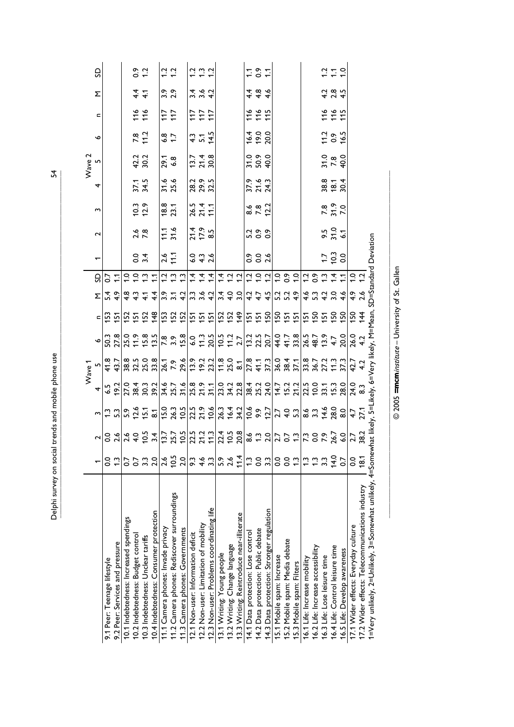|         | ۱<br>d<br>į |
|---------|-------------|
| ţ       | l<br>í<br>١ |
| I       |             |
| ļ<br>ł, | ١<br>ï      |
|         | i           |
| İ<br>ļ  | i           |
|         | ı<br>,      |
|         |             |
| i       |             |
|         | l<br>í      |
| Ó       | ı<br>l<br>i |
| í       | ï<br>١      |
|         | l           |
|         | ï           |
| ï       |             |

|                                                                                                                                                            |                                                                                                                                                                                                                                                                                                                                      | Wave 1                                                                                                       |                     |                                                                                                                                                                                                                                                                                                                                                                                                                                                                                                                                                                                                                                                                                           |                                                                                                |                |                                                                                                                                              |                                                                        |                                                                                                                                                                                                                            |                                                                                        | Wave 2                                                                                           |                                                                                           |                                                                                    |                          |                                                                                 |
|------------------------------------------------------------------------------------------------------------------------------------------------------------|--------------------------------------------------------------------------------------------------------------------------------------------------------------------------------------------------------------------------------------------------------------------------------------------------------------------------------------|--------------------------------------------------------------------------------------------------------------|---------------------|-------------------------------------------------------------------------------------------------------------------------------------------------------------------------------------------------------------------------------------------------------------------------------------------------------------------------------------------------------------------------------------------------------------------------------------------------------------------------------------------------------------------------------------------------------------------------------------------------------------------------------------------------------------------------------------------|------------------------------------------------------------------------------------------------|----------------|----------------------------------------------------------------------------------------------------------------------------------------------|------------------------------------------------------------------------|----------------------------------------------------------------------------------------------------------------------------------------------------------------------------------------------------------------------------|----------------------------------------------------------------------------------------|--------------------------------------------------------------------------------------------------|-------------------------------------------------------------------------------------------|------------------------------------------------------------------------------------|--------------------------|---------------------------------------------------------------------------------|
|                                                                                                                                                            | $\mathbf{\widetilde{S}}$                                                                                                                                                                                                                                                                                                             | $\overline{\phantom{a}}$                                                                                     | $\bullet$           | $\blacksquare$                                                                                                                                                                                                                                                                                                                                                                                                                                                                                                                                                                                                                                                                            | Σ                                                                                              | 9              |                                                                                                                                              | $\mathbf{\Omega}$                                                      | S                                                                                                                                                                                                                          | ᠇                                                                                      | S                                                                                                | $\bullet$                                                                                 | Ξ                                                                                  | Σ                        | G                                                                               |
| °0                                                                                                                                                         |                                                                                                                                                                                                                                                                                                                                      | 41.8<br>43.7                                                                                                 | 50.3<br>27.8        | <u>ក្ខ ភ</u>                                                                                                                                                                                                                                                                                                                                                                                                                                                                                                                                                                                                                                                                              | 54.9                                                                                           | $\frac{7}{10}$ |                                                                                                                                              |                                                                        |                                                                                                                                                                                                                            |                                                                                        |                                                                                                  |                                                                                           |                                                                                    |                          |                                                                                 |
| $\frac{1}{2}$                                                                                                                                              |                                                                                                                                                                                                                                                                                                                                      | $6.5$<br>$19.2$                                                                                              |                     |                                                                                                                                                                                                                                                                                                                                                                                                                                                                                                                                                                                                                                                                                           |                                                                                                |                |                                                                                                                                              |                                                                        |                                                                                                                                                                                                                            |                                                                                        |                                                                                                  |                                                                                           |                                                                                    |                          |                                                                                 |
| $\overline{0}$                                                                                                                                             |                                                                                                                                                                                                                                                                                                                                      |                                                                                                              |                     |                                                                                                                                                                                                                                                                                                                                                                                                                                                                                                                                                                                                                                                                                           |                                                                                                |                |                                                                                                                                              |                                                                        |                                                                                                                                                                                                                            |                                                                                        |                                                                                                  |                                                                                           |                                                                                    |                          |                                                                                 |
|                                                                                                                                                            |                                                                                                                                                                                                                                                                                                                                      |                                                                                                              |                     |                                                                                                                                                                                                                                                                                                                                                                                                                                                                                                                                                                                                                                                                                           | $44.4$<br>$44.4$                                                                               |                |                                                                                                                                              |                                                                        |                                                                                                                                                                                                                            | 37.1<br>34.5                                                                           | 42.2<br>30.2                                                                                     |                                                                                           |                                                                                    |                          |                                                                                 |
|                                                                                                                                                            |                                                                                                                                                                                                                                                                                                                                      |                                                                                                              |                     |                                                                                                                                                                                                                                                                                                                                                                                                                                                                                                                                                                                                                                                                                           |                                                                                                |                | 0.4                                                                                                                                          | $2.8$<br>7.8                                                           | 10.3                                                                                                                                                                                                                       |                                                                                        |                                                                                                  | 7.8                                                                                       | 116                                                                                | 4.7                      | 0.2                                                                             |
|                                                                                                                                                            |                                                                                                                                                                                                                                                                                                                                      |                                                                                                              |                     |                                                                                                                                                                                                                                                                                                                                                                                                                                                                                                                                                                                                                                                                                           | $\frac{4}{4}$                                                                                  |                |                                                                                                                                              |                                                                        |                                                                                                                                                                                                                            |                                                                                        |                                                                                                  |                                                                                           |                                                                                    |                          |                                                                                 |
| 2.6                                                                                                                                                        |                                                                                                                                                                                                                                                                                                                                      |                                                                                                              |                     |                                                                                                                                                                                                                                                                                                                                                                                                                                                                                                                                                                                                                                                                                           |                                                                                                |                |                                                                                                                                              |                                                                        |                                                                                                                                                                                                                            |                                                                                        |                                                                                                  |                                                                                           |                                                                                    |                          | $\frac{1}{2}$ $\frac{1}{2}$                                                     |
| 10.5                                                                                                                                                       |                                                                                                                                                                                                                                                                                                                                      |                                                                                                              |                     |                                                                                                                                                                                                                                                                                                                                                                                                                                                                                                                                                                                                                                                                                           |                                                                                                |                |                                                                                                                                              |                                                                        |                                                                                                                                                                                                                            |                                                                                        |                                                                                                  |                                                                                           |                                                                                    |                          |                                                                                 |
|                                                                                                                                                            |                                                                                                                                                                                                                                                                                                                                      |                                                                                                              |                     |                                                                                                                                                                                                                                                                                                                                                                                                                                                                                                                                                                                                                                                                                           | 4.2                                                                                            |                |                                                                                                                                              |                                                                        |                                                                                                                                                                                                                            |                                                                                        |                                                                                                  |                                                                                           |                                                                                    |                          |                                                                                 |
|                                                                                                                                                            |                                                                                                                                                                                                                                                                                                                                      |                                                                                                              |                     |                                                                                                                                                                                                                                                                                                                                                                                                                                                                                                                                                                                                                                                                                           |                                                                                                |                |                                                                                                                                              |                                                                        |                                                                                                                                                                                                                            |                                                                                        |                                                                                                  |                                                                                           |                                                                                    |                          | $\frac{1}{2}$ $\frac{3}{2}$ $\frac{3}{2}$                                       |
|                                                                                                                                                            |                                                                                                                                                                                                                                                                                                                                      |                                                                                                              |                     |                                                                                                                                                                                                                                                                                                                                                                                                                                                                                                                                                                                                                                                                                           |                                                                                                |                |                                                                                                                                              |                                                                        |                                                                                                                                                                                                                            |                                                                                        |                                                                                                  |                                                                                           |                                                                                    |                          |                                                                                 |
|                                                                                                                                                            |                                                                                                                                                                                                                                                                                                                                      |                                                                                                              |                     |                                                                                                                                                                                                                                                                                                                                                                                                                                                                                                                                                                                                                                                                                           |                                                                                                |                |                                                                                                                                              |                                                                        |                                                                                                                                                                                                                            |                                                                                        |                                                                                                  |                                                                                           |                                                                                    |                          |                                                                                 |
|                                                                                                                                                            |                                                                                                                                                                                                                                                                                                                                      |                                                                                                              |                     |                                                                                                                                                                                                                                                                                                                                                                                                                                                                                                                                                                                                                                                                                           | 3.4                                                                                            |                |                                                                                                                                              |                                                                        |                                                                                                                                                                                                                            |                                                                                        |                                                                                                  |                                                                                           |                                                                                    |                          |                                                                                 |
|                                                                                                                                                            |                                                                                                                                                                                                                                                                                                                                      |                                                                                                              |                     |                                                                                                                                                                                                                                                                                                                                                                                                                                                                                                                                                                                                                                                                                           |                                                                                                |                |                                                                                                                                              |                                                                        |                                                                                                                                                                                                                            |                                                                                        |                                                                                                  |                                                                                           |                                                                                    |                          |                                                                                 |
| 11.4                                                                                                                                                       |                                                                                                                                                                                                                                                                                                                                      |                                                                                                              |                     |                                                                                                                                                                                                                                                                                                                                                                                                                                                                                                                                                                                                                                                                                           |                                                                                                |                |                                                                                                                                              |                                                                        |                                                                                                                                                                                                                            |                                                                                        |                                                                                                  |                                                                                           |                                                                                    |                          |                                                                                 |
|                                                                                                                                                            |                                                                                                                                                                                                                                                                                                                                      |                                                                                                              |                     |                                                                                                                                                                                                                                                                                                                                                                                                                                                                                                                                                                                                                                                                                           |                                                                                                |                |                                                                                                                                              |                                                                        |                                                                                                                                                                                                                            |                                                                                        |                                                                                                  |                                                                                           |                                                                                    |                          |                                                                                 |
|                                                                                                                                                            |                                                                                                                                                                                                                                                                                                                                      |                                                                                                              |                     |                                                                                                                                                                                                                                                                                                                                                                                                                                                                                                                                                                                                                                                                                           |                                                                                                |                |                                                                                                                                              |                                                                        |                                                                                                                                                                                                                            |                                                                                        |                                                                                                  |                                                                                           |                                                                                    |                          | 1581                                                                            |
|                                                                                                                                                            |                                                                                                                                                                                                                                                                                                                                      |                                                                                                              |                     |                                                                                                                                                                                                                                                                                                                                                                                                                                                                                                                                                                                                                                                                                           |                                                                                                |                |                                                                                                                                              |                                                                        |                                                                                                                                                                                                                            |                                                                                        |                                                                                                  |                                                                                           |                                                                                    |                          |                                                                                 |
|                                                                                                                                                            |                                                                                                                                                                                                                                                                                                                                      |                                                                                                              |                     |                                                                                                                                                                                                                                                                                                                                                                                                                                                                                                                                                                                                                                                                                           |                                                                                                |                |                                                                                                                                              |                                                                        |                                                                                                                                                                                                                            |                                                                                        |                                                                                                  |                                                                                           |                                                                                    |                          |                                                                                 |
|                                                                                                                                                            |                                                                                                                                                                                                                                                                                                                                      |                                                                                                              |                     |                                                                                                                                                                                                                                                                                                                                                                                                                                                                                                                                                                                                                                                                                           |                                                                                                |                |                                                                                                                                              |                                                                        |                                                                                                                                                                                                                            |                                                                                        |                                                                                                  |                                                                                           |                                                                                    |                          |                                                                                 |
|                                                                                                                                                            |                                                                                                                                                                                                                                                                                                                                      |                                                                                                              |                     |                                                                                                                                                                                                                                                                                                                                                                                                                                                                                                                                                                                                                                                                                           |                                                                                                |                |                                                                                                                                              |                                                                        |                                                                                                                                                                                                                            |                                                                                        |                                                                                                  |                                                                                           |                                                                                    |                          |                                                                                 |
|                                                                                                                                                            |                                                                                                                                                                                                                                                                                                                                      |                                                                                                              |                     |                                                                                                                                                                                                                                                                                                                                                                                                                                                                                                                                                                                                                                                                                           |                                                                                                |                |                                                                                                                                              |                                                                        |                                                                                                                                                                                                                            |                                                                                        |                                                                                                  |                                                                                           |                                                                                    |                          |                                                                                 |
|                                                                                                                                                            |                                                                                                                                                                                                                                                                                                                                      |                                                                                                              |                     |                                                                                                                                                                                                                                                                                                                                                                                                                                                                                                                                                                                                                                                                                           |                                                                                                |                |                                                                                                                                              |                                                                        |                                                                                                                                                                                                                            |                                                                                        |                                                                                                  |                                                                                           |                                                                                    |                          |                                                                                 |
|                                                                                                                                                            |                                                                                                                                                                                                                                                                                                                                      |                                                                                                              |                     |                                                                                                                                                                                                                                                                                                                                                                                                                                                                                                                                                                                                                                                                                           |                                                                                                |                |                                                                                                                                              |                                                                        |                                                                                                                                                                                                                            |                                                                                        |                                                                                                  |                                                                                           |                                                                                    |                          | $\frac{1}{1}$ $\frac{1}{1}$ $\frac{1}{1}$ $\frac{1}{1}$                         |
| 14.0                                                                                                                                                       |                                                                                                                                                                                                                                                                                                                                      |                                                                                                              |                     |                                                                                                                                                                                                                                                                                                                                                                                                                                                                                                                                                                                                                                                                                           |                                                                                                |                |                                                                                                                                              |                                                                        |                                                                                                                                                                                                                            |                                                                                        |                                                                                                  |                                                                                           |                                                                                    |                          |                                                                                 |
|                                                                                                                                                            |                                                                                                                                                                                                                                                                                                                                      |                                                                                                              |                     |                                                                                                                                                                                                                                                                                                                                                                                                                                                                                                                                                                                                                                                                                           |                                                                                                |                |                                                                                                                                              |                                                                        |                                                                                                                                                                                                                            |                                                                                        |                                                                                                  |                                                                                           |                                                                                    |                          |                                                                                 |
| ွိ                                                                                                                                                         |                                                                                                                                                                                                                                                                                                                                      |                                                                                                              |                     | $\frac{50}{2}$                                                                                                                                                                                                                                                                                                                                                                                                                                                                                                                                                                                                                                                                            | $\ddot{ }$                                                                                     |                |                                                                                                                                              |                                                                        |                                                                                                                                                                                                                            |                                                                                        |                                                                                                  |                                                                                           |                                                                                    |                          |                                                                                 |
| 18.1                                                                                                                                                       |                                                                                                                                                                                                                                                                                                                                      |                                                                                                              |                     |                                                                                                                                                                                                                                                                                                                                                                                                                                                                                                                                                                                                                                                                                           |                                                                                                |                |                                                                                                                                              |                                                                        |                                                                                                                                                                                                                            |                                                                                        |                                                                                                  |                                                                                           |                                                                                    |                          |                                                                                 |
|                                                                                                                                                            |                                                                                                                                                                                                                                                                                                                                      |                                                                                                              |                     |                                                                                                                                                                                                                                                                                                                                                                                                                                                                                                                                                                                                                                                                                           |                                                                                                |                |                                                                                                                                              |                                                                        |                                                                                                                                                                                                                            |                                                                                        |                                                                                                  |                                                                                           |                                                                                    |                          |                                                                                 |
|                                                                                                                                                            |                                                                                                                                                                                                                                                                                                                                      |                                                                                                              |                     |                                                                                                                                                                                                                                                                                                                                                                                                                                                                                                                                                                                                                                                                                           |                                                                                                |                |                                                                                                                                              |                                                                        |                                                                                                                                                                                                                            |                                                                                        |                                                                                                  |                                                                                           |                                                                                    |                          |                                                                                 |
| 2.0<br>$9.43$<br>$-4.3$<br>$5.9$<br>2.6<br>0.070<br>3.3<br>$\frac{3}{10}$ 0 m<br>$\frac{1}{2}$ $\frac{1}{2}$ $\frac{1}{2}$ $\frac{1}{2}$<br>$\overline{0}$ | $\frac{1}{2}$ $\frac{1}{2}$ $\frac{1}{2}$ $\frac{1}{2}$ $\frac{1}{2}$ $\frac{1}{2}$ $\frac{1}{2}$ $\frac{1}{2}$ $\frac{1}{2}$ $\frac{1}{2}$ $\frac{1}{2}$ $\frac{1}{2}$ $\frac{1}{2}$ $\frac{1}{2}$ $\frac{1}{2}$ $\frac{1}{2}$ $\frac{1}{2}$ $\frac{1}{2}$ $\frac{1}{2}$ $\frac{1}{2}$ $\frac{1}{2}$ $\frac{1}{2}$<br>$4.7$<br>27.1 | 42.7<br>4.2<br>33.1<br>15.3<br>28.0<br>27.3<br>38.4<br>39.2<br>24.0<br>8.3<br>34.5<br>25.7 8.9<br>37.7 7 7.7 | 20.0<br>26.0<br>4.2 | 144<br>$ $ $\frac{5}{2}$ $\frac{3}{2}$ $\frac{4}{2}$<br>150<br>599555<br>요즘 취한 호 히층 호 회호 항<br>$\frac{50}{2}$<br>$\overline{5}$<br>$3.29$ $2.89$ $2.89$ $2.89$ $2.89$ $2.89$ $2.89$ $2.89$ $2.89$ $2.89$ $2.89$ $2.89$ $2.89$ $2.89$ $2.89$ $2.89$ $2.89$ $2.89$ $2.89$ $2.89$ $2.89$ $2.89$ $2.89$ $2.89$ $2.89$ $2.89$ $2.89$ $2.89$ $2.89$ $2.89$ $2.89$ $2.8$<br>$6.0$ $\frac{3}{2}$ $\frac{1}{2}$ $\frac{1}{2}$ $\frac{1}{2}$ $\frac{1}{2}$ $\frac{1}{2}$ $\frac{1}{2}$ $\frac{1}{2}$ $\frac{1}{2}$ $\frac{1}{2}$ $\frac{1}{2}$ $\frac{1}{2}$ $\frac{1}{2}$ $\frac{1}{2}$ $\frac{1}{2}$ $\frac{1}{2}$ $\frac{1}{2}$ $\frac{1}{2}$ $\frac{1}{2}$ $\frac{1}{2}$ $\frac{1}{2}$ $\frac{1$ | $3.0$<br>4.6<br>400<br>5.2 4.9<br>4.2<br>324<br>324<br>$4.74$<br>$4.74$<br>$4.6$<br>5.3<br>3.7 |                | 282<br>$\frac{0}{1}$ $\frac{0}{1}$<br>7.3<br>222<br>00017<br>$\stackrel{4}{\sim}$ $\stackrel{4}{\sim}$ $\stackrel{4}{\sim}$<br>1212<br>28222 | $\frac{5}{2}$<br>$2.6$<br>11.1<br>8<br>002<br>002<br>0.3<br>0.4<br>0.1 | 9.5<br>37.0<br>6.1<br>$71.6$<br>37.6<br>$214$<br>$79$<br>$85$<br>5<br>5<br>5<br>5<br>5<br>5<br>1=Very unlikely, 2=Unlikely, 3=Somewhat unlikely, 4=Somewhat likely, 5=Likely, 6=Very likely, M=Mean, SD=Standard Deviation | $18.8$<br>23.1<br>$7.8$<br>$7.9$<br>$7.0$<br>26.5<br>21.4<br>11.1<br>8.8<br>7.2<br>8.7 | 31.6<br>25.6<br>$37.9$<br>$21.3$<br>$24.3$<br>28.2<br>29.9<br>32.5<br>$38.4$<br>$78.4$<br>$30.4$ | 500<br>500<br>400<br>$7.7$<br>$2.7$<br>$2.8$<br>$30.8$<br>$780$<br>$780$<br>$29.1$<br>6.8 | $16.0$<br>$19.0$<br>$20.0$<br>$7.3$<br>$0.9$<br>$1.5$<br>$4.5 + 5$<br>$4.5$<br>6.8 | 787<br>コココ<br>117<br>117 | $3.4$<br>$3.4$<br>$4.2$<br>$4.86$<br>$4.86$<br>$4285$<br>$4295$<br>$3.9$<br>2.9 |

© 2005 =mcminstitute - University of St. Gallen © 2005 =mcminstitute – University of St. Gallen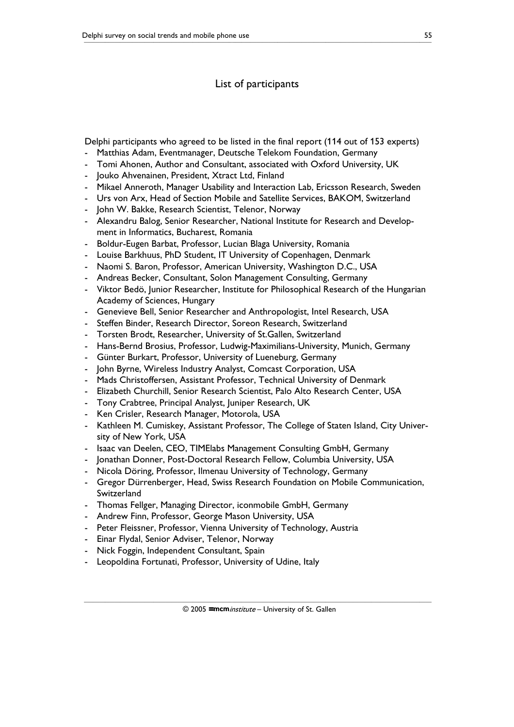# List of participants

 $\overline{\phantom{a}}$  , and the state of the state of the state of the state of the state of the state of the state of the state of the state of the state of the state of the state of the state of the state of the state of the stat

Delphi participants who agreed to be listed in the final report (114 out of 153 experts)

- Matthias Adam, Eventmanager, Deutsche Telekom Foundation, Germany
- Tomi Ahonen, Author and Consultant, associated with Oxford University, UK
- Jouko Ahvenainen, President, Xtract Ltd, Finland
- Mikael Anneroth, Manager Usability and Interaction Lab, Ericsson Research, Sweden
- Urs von Arx, Head of Section Mobile and Satellite Services, BAKOM, Switzerland
- John W. Bakke, Research Scientist, Telenor, Norway
- Alexandru Balog, Senior Researcher, National Institute for Research and Development in Informatics, Bucharest, Romania
- Boldur-Eugen Barbat, Professor, Lucian Blaga University, Romania
- Louise Barkhuus, PhD Student, IT University of Copenhagen, Denmark
- Naomi S. Baron, Professor, American University, Washington D.C., USA
- Andreas Becker, Consultant, Solon Management Consulting, Germany
- Viktor Bedö, Junior Researcher, Institute for Philosophical Research of the Hungarian Academy of Sciences, Hungary
- Genevieve Bell, Senior Researcher and Anthropologist, Intel Research, USA
- Steffen Binder, Research Director, Soreon Research, Switzerland
- Torsten Brodt, Researcher, University of St.Gallen, Switzerland
- Hans-Bernd Brosius, Professor, Ludwig-Maximilians-University, Munich, Germany
- Günter Burkart, Professor, University of Lueneburg, Germany
- John Byrne, Wireless Industry Analyst, Comcast Corporation, USA
- Mads Christoffersen, Assistant Professor, Technical University of Denmark
- Elizabeth Churchill, Senior Research Scientist, Palo Alto Research Center, USA
- Tony Crabtree, Principal Analyst, Juniper Research, UK
- Ken Crisler, Research Manager, Motorola, USA
- Kathleen M. Cumiskey, Assistant Professor, The College of Staten Island, City University of New York, USA
- Isaac van Deelen, CEO, TIMElabs Management Consulting GmbH, Germany
- Jonathan Donner, Post-Doctoral Research Fellow, Columbia University, USA
- Nicola Döring, Professor, Ilmenau University of Technology, Germany
- Gregor Dürrenberger, Head, Swiss Research Foundation on Mobile Communication, Switzerland
- Thomas Fellger, Managing Director, iconmobile GmbH, Germany
- Andrew Finn, Professor, George Mason University, USA
- Peter Fleissner, Professor, Vienna University of Technology, Austria
- Einar Flydal, Senior Adviser, Telenor, Norway
- Nick Foggin, Independent Consultant, Spain
- Leopoldina Fortunati, Professor, University of Udine, Italy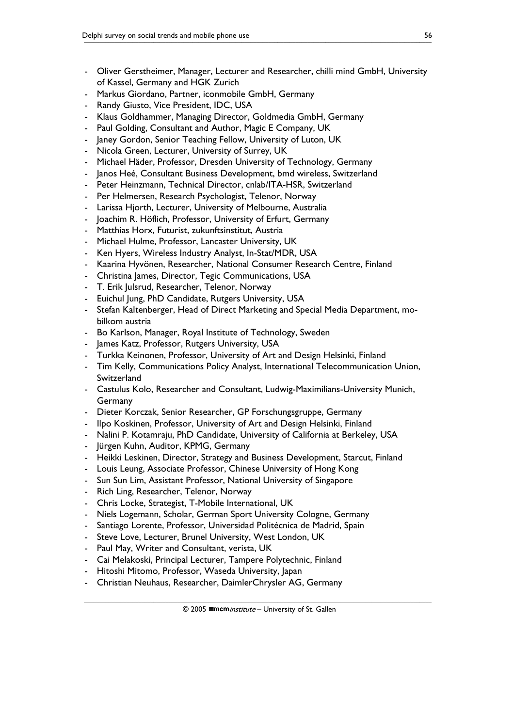- Oliver Gerstheimer, Manager, Lecturer and Researcher, chilli mind GmbH, University of Kassel, Germany and HGK Zurich

 $\overline{\phantom{a}}$  , and the state of the state of the state of the state of the state of the state of the state of the state of the state of the state of the state of the state of the state of the state of the state of the stat

- Markus Giordano, Partner, iconmobile GmbH, Germany
- Randy Giusto, Vice President, IDC, USA
- Klaus Goldhammer, Managing Director, Goldmedia GmbH, Germany
- Paul Golding, Consultant and Author, Magic E Company, UK
- Janey Gordon, Senior Teaching Fellow, University of Luton, UK
- Nicola Green, Lecturer, University of Surrey, UK
- Michael Häder, Professor, Dresden University of Technology, Germany
- Janos Heé, Consultant Business Development, bmd wireless, Switzerland
- Peter Heinzmann, Technical Director, cnlab/ITA-HSR, Switzerland
- Per Helmersen, Research Psychologist, Telenor, Norway
- Larissa Hjorth, Lecturer, University of Melbourne, Australia
- Joachim R. Höflich, Professor, University of Erfurt, Germany
- Matthias Horx, Futurist, zukunftsinstitut, Austria
- Michael Hulme, Professor, Lancaster University, UK
- Ken Hyers, Wireless Industry Analyst, In-Stat/MDR, USA
- Kaarina Hyvönen, Researcher, National Consumer Research Centre, Finland
- Christina James, Director, Tegic Communications, USA
- T. Erik Julsrud, Researcher, Telenor, Norway
- Euichul Jung, PhD Candidate, Rutgers University, USA
- Stefan Kaltenberger, Head of Direct Marketing and Special Media Department, mobilkom austria
- Bo Karlson, Manager, Royal Institute of Technology, Sweden
- James Katz, Professor, Rutgers University, USA
- Turkka Keinonen, Professor, University of Art and Design Helsinki, Finland
- Tim Kelly, Communications Policy Analyst, International Telecommunication Union, Switzerland
- Castulus Kolo, Researcher and Consultant, Ludwig-Maximilians-University Munich, Germany
- Dieter Korczak, Senior Researcher, GP Forschungsgruppe, Germany
- Ilpo Koskinen, Professor, University of Art and Design Helsinki, Finland
- Nalini P. Kotamraju, PhD Candidate, University of California at Berkeley, USA
- Jürgen Kuhn, Auditor, KPMG, Germany
- Heikki Leskinen, Director, Strategy and Business Development, Starcut, Finland
- Louis Leung, Associate Professor, Chinese University of Hong Kong
- Sun Sun Lim, Assistant Professor, National University of Singapore
- Rich Ling, Researcher, Telenor, Norway
- Chris Locke, Strategist, T-Mobile International, UK
- Niels Logemann, Scholar, German Sport University Cologne, Germany
- Santiago Lorente, Professor, Universidad Politécnica de Madrid, Spain
- Steve Love, Lecturer, Brunel University, West London, UK
- Paul May, Writer and Consultant, verista, UK
- Cai Melakoski, Principal Lecturer, Tampere Polytechnic, Finland
- Hitoshi Mitomo, Professor, Waseda University, Japan
- Christian Neuhaus, Researcher, DaimlerChrysler AG, Germany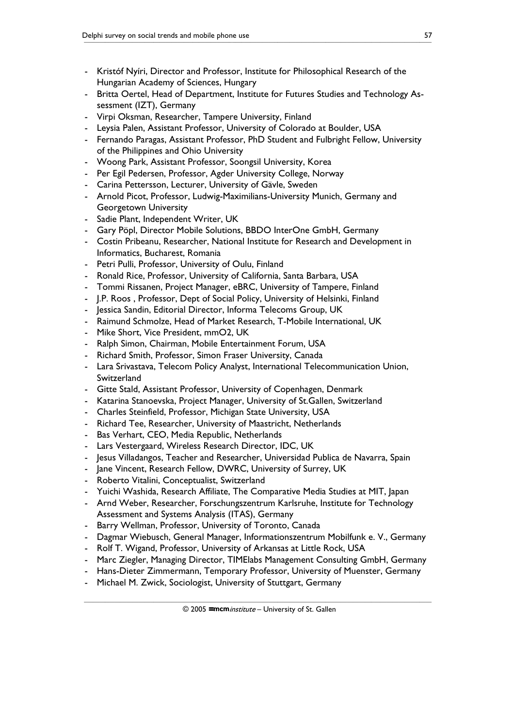- Kristóf Nyíri, Director and Professor, Institute for Philosophical Research of the Hungarian Academy of Sciences, Hungary
- Britta Oertel, Head of Department, Institute for Futures Studies and Technology Assessment (IZT), Germany

 $\overline{\phantom{a}}$  , and the state of the state of the state of the state of the state of the state of the state of the state of the state of the state of the state of the state of the state of the state of the state of the stat

- Virpi Oksman, Researcher, Tampere University, Finland
- Leysia Palen, Assistant Professor, University of Colorado at Boulder, USA
- Fernando Paragas, Assistant Professor, PhD Student and Fulbright Fellow, University of the Philippines and Ohio University
- Woong Park, Assistant Professor, Soongsil University, Korea
- Per Egil Pedersen, Professor, Agder University College, Norway
- Carina Pettersson, Lecturer, University of Gävle, Sweden
- Arnold Picot, Professor, Ludwig-Maximilians-University Munich, Germany and Georgetown University
- Sadie Plant, Independent Writer, UK
- Gary Pöpl, Director Mobile Solutions, BBDO InterOne GmbH, Germany
- Costin Pribeanu, Researcher, National Institute for Research and Development in Informatics, Bucharest, Romania
- Petri Pulli, Professor, University of Oulu, Finland
- Ronald Rice, Professor, University of California, Santa Barbara, USA
- Tommi Rissanen, Project Manager, eBRC, University of Tampere, Finland
- J.P. Roos , Professor, Dept of Social Policy, University of Helsinki, Finland
- Jessica Sandin, Editorial Director, Informa Telecoms Group, UK
- Raimund Schmolze, Head of Market Research, T-Mobile International, UK
- Mike Short, Vice President, mmO2, UK
- Ralph Simon, Chairman, Mobile Entertainment Forum, USA
- Richard Smith, Professor, Simon Fraser University, Canada
- Lara Srivastava, Telecom Policy Analyst, International Telecommunication Union, Switzerland
- Gitte Stald, Assistant Professor, University of Copenhagen, Denmark
- Katarina Stanoevska, Project Manager, University of St.Gallen, Switzerland
- Charles Steinfield, Professor, Michigan State University, USA
- Richard Tee, Researcher, University of Maastricht, Netherlands
- Bas Verhart, CEO, Media Republic, Netherlands
- Lars Vestergaard, Wireless Research Director, IDC, UK
- Jesus Villadangos, Teacher and Researcher, Universidad Publica de Navarra, Spain
- Jane Vincent, Research Fellow, DWRC, University of Surrey, UK
- Roberto Vitalini, Conceptualist, Switzerland
- Yuichi Washida, Research Affiliate, The Comparative Media Studies at MIT, Japan
- Arnd Weber, Researcher, Forschungszentrum Karlsruhe, Institute for Technology Assessment and Systems Analysis (ITAS), Germany
- Barry Wellman, Professor, University of Toronto, Canada
- Dagmar Wiebusch, General Manager, Informationszentrum Mobilfunk e. V., Germany
- Rolf T. Wigand, Professor, University of Arkansas at Little Rock, USA
- Marc Ziegler, Managing Director, TIMElabs Management Consulting GmbH, Germany
- Hans-Dieter Zimmermann, Temporary Professor, University of Muenster, Germany
- Michael M. Zwick, Sociologist, University of Stuttgart, Germany